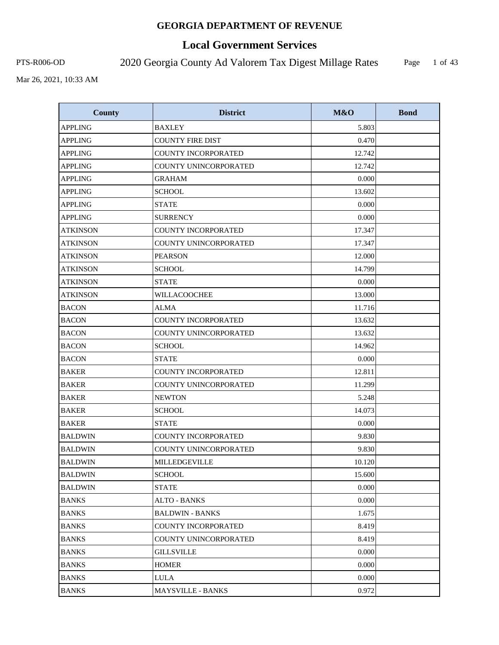# **Local Government Services**

PTS-R006-OD 2020 Georgia County Ad Valorem Tax Digest Millage Rates

Page 1 of 43

| <b>County</b>   | <b>District</b>              | M&O    | <b>Bond</b> |
|-----------------|------------------------------|--------|-------------|
| <b>APPLING</b>  | <b>BAXLEY</b>                | 5.803  |             |
| <b>APPLING</b>  | <b>COUNTY FIRE DIST</b>      | 0.470  |             |
| <b>APPLING</b>  | <b>COUNTY INCORPORATED</b>   | 12.742 |             |
| <b>APPLING</b>  | COUNTY UNINCORPORATED        | 12.742 |             |
| <b>APPLING</b>  | <b>GRAHAM</b>                | 0.000  |             |
| <b>APPLING</b>  | <b>SCHOOL</b>                | 13.602 |             |
| <b>APPLING</b>  | <b>STATE</b>                 | 0.000  |             |
| <b>APPLING</b>  | <b>SURRENCY</b>              | 0.000  |             |
| <b>ATKINSON</b> | COUNTY INCORPORATED          | 17.347 |             |
| <b>ATKINSON</b> | COUNTY UNINCORPORATED        | 17.347 |             |
| <b>ATKINSON</b> | <b>PEARSON</b>               | 12.000 |             |
| <b>ATKINSON</b> | <b>SCHOOL</b>                | 14.799 |             |
| <b>ATKINSON</b> | <b>STATE</b>                 | 0.000  |             |
| <b>ATKINSON</b> | WILLACOOCHEE                 | 13.000 |             |
| <b>BACON</b>    | <b>ALMA</b>                  | 11.716 |             |
| <b>BACON</b>    | COUNTY INCORPORATED          | 13.632 |             |
| <b>BACON</b>    | COUNTY UNINCORPORATED        | 13.632 |             |
| <b>BACON</b>    | <b>SCHOOL</b>                | 14.962 |             |
| <b>BACON</b>    | <b>STATE</b>                 | 0.000  |             |
| <b>BAKER</b>    | COUNTY INCORPORATED          | 12.811 |             |
| <b>BAKER</b>    | COUNTY UNINCORPORATED        | 11.299 |             |
| <b>BAKER</b>    | <b>NEWTON</b>                | 5.248  |             |
| <b>BAKER</b>    | <b>SCHOOL</b>                | 14.073 |             |
| <b>BAKER</b>    | <b>STATE</b>                 | 0.000  |             |
| <b>BALDWIN</b>  | <b>COUNTY INCORPORATED</b>   | 9.830  |             |
| <b>BALDWIN</b>  | COUNTY UNINCORPORATED        | 9.830  |             |
| <b>BALDWIN</b>  | MILLEDGEVILLE                | 10.120 |             |
| <b>BALDWIN</b>  | <b>SCHOOL</b>                | 15.600 |             |
| <b>BALDWIN</b>  | <b>STATE</b>                 | 0.000  |             |
| <b>BANKS</b>    | <b>ALTO - BANKS</b>          | 0.000  |             |
| <b>BANKS</b>    | <b>BALDWIN - BANKS</b>       | 1.675  |             |
| <b>BANKS</b>    | <b>COUNTY INCORPORATED</b>   | 8.419  |             |
| <b>BANKS</b>    | <b>COUNTY UNINCORPORATED</b> | 8.419  |             |
| <b>BANKS</b>    | <b>GILLSVILLE</b>            | 0.000  |             |
| <b>BANKS</b>    | HOMER                        | 0.000  |             |
| <b>BANKS</b>    | <b>LULA</b>                  | 0.000  |             |
| <b>BANKS</b>    | MAYSVILLE - BANKS            | 0.972  |             |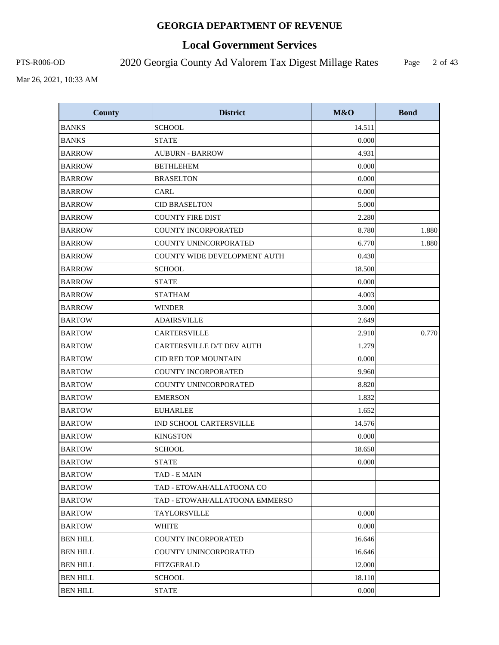# **Local Government Services**

PTS-R006-OD 2020 Georgia County Ad Valorem Tax Digest Millage Rates

Page 2 of 43

| <b>County</b>   | <b>District</b>                  | M&O    | <b>Bond</b> |
|-----------------|----------------------------------|--------|-------------|
| <b>BANKS</b>    | <b>SCHOOL</b>                    | 14.511 |             |
| <b>BANKS</b>    | <b>STATE</b>                     | 0.000  |             |
| <b>BARROW</b>   | <b>AUBURN - BARROW</b>           | 4.931  |             |
| <b>BARROW</b>   | <b>BETHLEHEM</b>                 | 0.000  |             |
| <b>BARROW</b>   | <b>BRASELTON</b>                 | 0.000  |             |
| <b>BARROW</b>   | CARL                             | 0.000  |             |
| <b>BARROW</b>   | <b>CID BRASELTON</b>             | 5.000  |             |
| <b>BARROW</b>   | <b>COUNTY FIRE DIST</b>          | 2.280  |             |
| <b>BARROW</b>   | COUNTY INCORPORATED              | 8.780  | 1.880       |
| <b>BARROW</b>   | COUNTY UNINCORPORATED            | 6.770  | 1.880       |
| <b>BARROW</b>   | COUNTY WIDE DEVELOPMENT AUTH     | 0.430  |             |
| <b>BARROW</b>   | <b>SCHOOL</b>                    | 18.500 |             |
| <b>BARROW</b>   | <b>STATE</b>                     | 0.000  |             |
| <b>BARROW</b>   | <b>STATHAM</b>                   | 4.003  |             |
| <b>BARROW</b>   | <b>WINDER</b>                    | 3.000  |             |
| <b>BARTOW</b>   | <b>ADAIRSVILLE</b>               | 2.649  |             |
| <b>BARTOW</b>   | <b>CARTERSVILLE</b>              | 2.910  | 0.770       |
| <b>BARTOW</b>   | <b>CARTERSVILLE D/T DEV AUTH</b> | 1.279  |             |
| <b>BARTOW</b>   | CID RED TOP MOUNTAIN             | 0.000  |             |
| <b>BARTOW</b>   | <b>COUNTY INCORPORATED</b>       | 9.960  |             |
| <b>BARTOW</b>   | COUNTY UNINCORPORATED            | 8.820  |             |
| <b>BARTOW</b>   | <b>EMERSON</b>                   | 1.832  |             |
| <b>BARTOW</b>   | <b>EUHARLEE</b>                  | 1.652  |             |
| <b>BARTOW</b>   | IND SCHOOL CARTERSVILLE          | 14.576 |             |
| <b>BARTOW</b>   | <b>KINGSTON</b>                  | 0.000  |             |
| <b>BARTOW</b>   | <b>SCHOOL</b>                    | 18.650 |             |
| <b>BARTOW</b>   | <b>STATE</b>                     | 0.000  |             |
| <b>BARTOW</b>   | TAD - E MAIN                     |        |             |
| <b>BARTOW</b>   | TAD - ETOWAH/ALLATOONA CO        |        |             |
| <b>BARTOW</b>   | TAD - ETOWAH/ALLATOONA EMMERSO   |        |             |
| <b>BARTOW</b>   | <b>TAYLORSVILLE</b>              | 0.000  |             |
| <b>BARTOW</b>   | <b>WHITE</b>                     | 0.000  |             |
| <b>BEN HILL</b> | <b>COUNTY INCORPORATED</b>       | 16.646 |             |
| <b>BEN HILL</b> | <b>COUNTY UNINCORPORATED</b>     | 16.646 |             |
| <b>BEN HILL</b> | FITZGERALD                       | 12.000 |             |
| <b>BEN HILL</b> | <b>SCHOOL</b>                    | 18.110 |             |
| <b>BEN HILL</b> | <b>STATE</b>                     | 0.000  |             |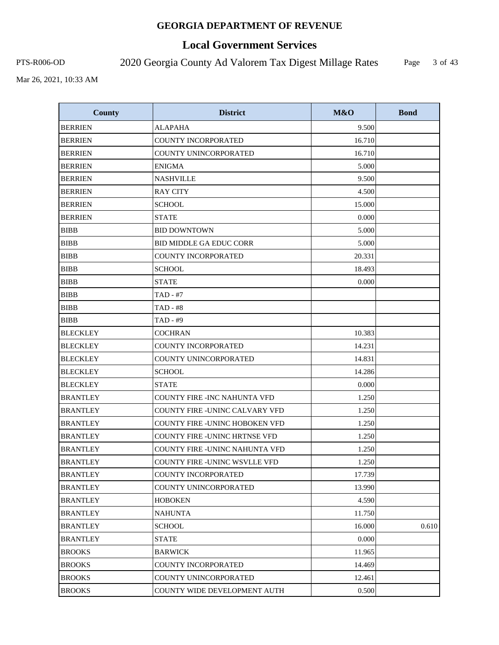# **Local Government Services**

PTS-R006-OD 2020 Georgia County Ad Valorem Tax Digest Millage Rates

Page 3 of 43

| <b>County</b>   | <b>District</b>                       | M&O    | <b>Bond</b> |
|-----------------|---------------------------------------|--------|-------------|
| <b>BERRIEN</b>  | <b>ALAPAHA</b>                        | 9.500  |             |
| <b>BERRIEN</b>  | <b>COUNTY INCORPORATED</b>            | 16.710 |             |
| <b>BERRIEN</b>  | COUNTY UNINCORPORATED                 | 16.710 |             |
| <b>BERRIEN</b>  | <b>ENIGMA</b>                         | 5.000  |             |
| <b>BERRIEN</b>  | <b>NASHVILLE</b>                      | 9.500  |             |
| <b>BERRIEN</b>  | <b>RAY CITY</b>                       | 4.500  |             |
| <b>BERRIEN</b>  | <b>SCHOOL</b>                         | 15.000 |             |
| <b>BERRIEN</b>  | <b>STATE</b>                          | 0.000  |             |
| <b>BIBB</b>     | <b>BID DOWNTOWN</b>                   | 5.000  |             |
| <b>BIBB</b>     | <b>BID MIDDLE GA EDUC CORR</b>        | 5.000  |             |
| <b>BIBB</b>     | <b>COUNTY INCORPORATED</b>            | 20.331 |             |
| <b>BIBB</b>     | <b>SCHOOL</b>                         | 18.493 |             |
| <b>BIBB</b>     | <b>STATE</b>                          | 0.000  |             |
| <b>BIBB</b>     | TAD - #7                              |        |             |
| <b>BIBB</b>     | <b>TAD - #8</b>                       |        |             |
| <b>BIBB</b>     | TAD - #9                              |        |             |
| <b>BLECKLEY</b> | <b>COCHRAN</b>                        | 10.383 |             |
| <b>BLECKLEY</b> | COUNTY INCORPORATED                   | 14.231 |             |
| <b>BLECKLEY</b> | COUNTY UNINCORPORATED                 | 14.831 |             |
| <b>BLECKLEY</b> | <b>SCHOOL</b>                         | 14.286 |             |
| <b>BLECKLEY</b> | STATE                                 | 0.000  |             |
| <b>BRANTLEY</b> | <b>COUNTY FIRE -INC NAHUNTA VFD</b>   | 1.250  |             |
| <b>BRANTLEY</b> | COUNTY FIRE -UNINC CALVARY VFD        | 1.250  |             |
| <b>BRANTLEY</b> | <b>COUNTY FIRE -UNINC HOBOKEN VFD</b> | 1.250  |             |
| <b>BRANTLEY</b> | <b>COUNTY FIRE -UNINC HRTNSE VFD</b>  | 1.250  |             |
| <b>BRANTLEY</b> | COUNTY FIRE -UNINC NAHUNTA VFD        | 1.250  |             |
| <b>BRANTLEY</b> | COUNTY FIRE -UNINC WSVLLE VFD         | 1.250  |             |
| <b>BRANTLEY</b> | COUNTY INCORPORATED                   | 17.739 |             |
| <b>BRANTLEY</b> | COUNTY UNINCORPORATED                 | 13.990 |             |
| <b>BRANTLEY</b> | HOBOKEN                               | 4.590  |             |
| <b>BRANTLEY</b> | <b>NAHUNTA</b>                        | 11.750 |             |
| <b>BRANTLEY</b> | SCHOOL                                | 16.000 | 0.610       |
| <b>BRANTLEY</b> | <b>STATE</b>                          | 0.000  |             |
| <b>BROOKS</b>   | <b>BARWICK</b>                        | 11.965 |             |
| <b>BROOKS</b>   | COUNTY INCORPORATED                   | 14.469 |             |
| <b>BROOKS</b>   | COUNTY UNINCORPORATED                 | 12.461 |             |
| <b>BROOKS</b>   | COUNTY WIDE DEVELOPMENT AUTH          | 0.500  |             |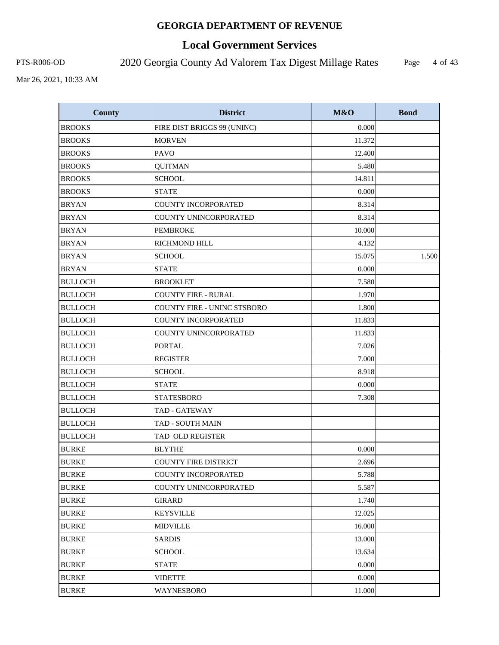# **Local Government Services**

PTS-R006-OD 2020 Georgia County Ad Valorem Tax Digest Millage Rates

Page 4 of 43

| <b>County</b>  | <b>District</b>                    | M&O    | <b>Bond</b> |
|----------------|------------------------------------|--------|-------------|
| <b>BROOKS</b>  | FIRE DIST BRIGGS 99 (UNINC)        | 0.000  |             |
| <b>BROOKS</b>  | <b>MORVEN</b>                      | 11.372 |             |
| <b>BROOKS</b>  | PAVO                               | 12.400 |             |
| <b>BROOKS</b>  | <b>QUITMAN</b>                     | 5.480  |             |
| <b>BROOKS</b>  | <b>SCHOOL</b>                      | 14.811 |             |
| <b>BROOKS</b>  | <b>STATE</b>                       | 0.000  |             |
| <b>BRYAN</b>   | <b>COUNTY INCORPORATED</b>         | 8.314  |             |
| <b>BRYAN</b>   | COUNTY UNINCORPORATED              | 8.314  |             |
| <b>BRYAN</b>   | <b>PEMBROKE</b>                    | 10.000 |             |
| <b>BRYAN</b>   | RICHMOND HILL                      | 4.132  |             |
| <b>BRYAN</b>   | <b>SCHOOL</b>                      | 15.075 | 1.500       |
| <b>BRYAN</b>   | <b>STATE</b>                       | 0.000  |             |
| <b>BULLOCH</b> | <b>BROOKLET</b>                    | 7.580  |             |
| <b>BULLOCH</b> | <b>COUNTY FIRE - RURAL</b>         | 1.970  |             |
| <b>BULLOCH</b> | <b>COUNTY FIRE - UNINC STSBORO</b> | 1.800  |             |
| <b>BULLOCH</b> | <b>COUNTY INCORPORATED</b>         | 11.833 |             |
| <b>BULLOCH</b> | COUNTY UNINCORPORATED              | 11.833 |             |
| <b>BULLOCH</b> | <b>PORTAL</b>                      | 7.026  |             |
| <b>BULLOCH</b> | <b>REGISTER</b>                    | 7.000  |             |
| <b>BULLOCH</b> | <b>SCHOOL</b>                      | 8.918  |             |
| <b>BULLOCH</b> | <b>STATE</b>                       | 0.000  |             |
| <b>BULLOCH</b> | <b>STATESBORO</b>                  | 7.308  |             |
| <b>BULLOCH</b> | <b>TAD - GATEWAY</b>               |        |             |
| <b>BULLOCH</b> | <b>TAD - SOUTH MAIN</b>            |        |             |
| <b>BULLOCH</b> | TAD OLD REGISTER                   |        |             |
| <b>BURKE</b>   | <b>BLYTHE</b>                      | 0.000  |             |
| <b>BURKE</b>   | <b>COUNTY FIRE DISTRICT</b>        | 2.696  |             |
| <b>BURKE</b>   | COUNTY INCORPORATED                | 5.788  |             |
| <b>BURKE</b>   | COUNTY UNINCORPORATED              | 5.587  |             |
| <b>BURKE</b>   | GIRARD                             | 1.740  |             |
| <b>BURKE</b>   | <b>KEYSVILLE</b>                   | 12.025 |             |
| <b>BURKE</b>   | <b>MIDVILLE</b>                    | 16.000 |             |
| <b>BURKE</b>   | SARDIS                             | 13.000 |             |
| <b>BURKE</b>   | <b>SCHOOL</b>                      | 13.634 |             |
| <b>BURKE</b>   | <b>STATE</b>                       | 0.000  |             |
| <b>BURKE</b>   | <b>VIDETTE</b>                     | 0.000  |             |
| <b>BURKE</b>   | WAYNESBORO                         | 11.000 |             |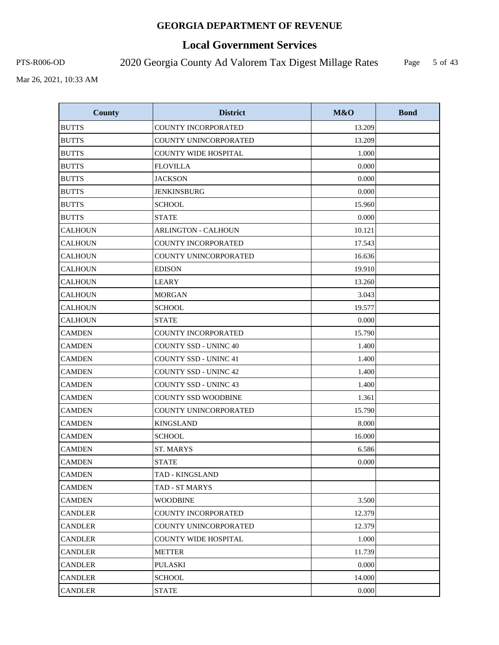# **Local Government Services**

PTS-R006-OD 2020 Georgia County Ad Valorem Tax Digest Millage Rates

Page 5 of 43

| <b>County</b>  | <b>District</b>              | M&O    | <b>Bond</b> |
|----------------|------------------------------|--------|-------------|
| <b>BUTTS</b>   | <b>COUNTY INCORPORATED</b>   | 13.209 |             |
| <b>BUTTS</b>   | COUNTY UNINCORPORATED        | 13.209 |             |
| <b>BUTTS</b>   | <b>COUNTY WIDE HOSPITAL</b>  | 1.000  |             |
| <b>BUTTS</b>   | <b>FLOVILLA</b>              | 0.000  |             |
| <b>BUTTS</b>   | <b>JACKSON</b>               | 0.000  |             |
| <b>BUTTS</b>   | <b>JENKINSBURG</b>           | 0.000  |             |
| <b>BUTTS</b>   | <b>SCHOOL</b>                | 15.960 |             |
| <b>BUTTS</b>   | <b>STATE</b>                 | 0.000  |             |
| <b>CALHOUN</b> | <b>ARLINGTON - CALHOUN</b>   | 10.121 |             |
| <b>CALHOUN</b> | <b>COUNTY INCORPORATED</b>   | 17.543 |             |
| <b>CALHOUN</b> | COUNTY UNINCORPORATED        | 16.636 |             |
| <b>CALHOUN</b> | <b>EDISON</b>                | 19.910 |             |
| <b>CALHOUN</b> | <b>LEARY</b>                 | 13.260 |             |
| <b>CALHOUN</b> | <b>MORGAN</b>                | 3.043  |             |
| <b>CALHOUN</b> | <b>SCHOOL</b>                | 19.577 |             |
| <b>CALHOUN</b> | <b>STATE</b>                 | 0.000  |             |
| <b>CAMDEN</b>  | <b>COUNTY INCORPORATED</b>   | 15.790 |             |
| <b>CAMDEN</b>  | <b>COUNTY SSD - UNINC 40</b> | 1.400  |             |
| <b>CAMDEN</b>  | <b>COUNTY SSD - UNINC 41</b> | 1.400  |             |
| <b>CAMDEN</b>  | <b>COUNTY SSD - UNINC 42</b> | 1.400  |             |
| <b>CAMDEN</b>  | <b>COUNTY SSD - UNINC 43</b> | 1.400  |             |
| <b>CAMDEN</b>  | <b>COUNTY SSD WOODBINE</b>   | 1.361  |             |
| <b>CAMDEN</b>  | COUNTY UNINCORPORATED        | 15.790 |             |
| <b>CAMDEN</b>  | <b>KINGSLAND</b>             | 8.000  |             |
| <b>CAMDEN</b>  | <b>SCHOOL</b>                | 16.000 |             |
| <b>CAMDEN</b>  | <b>ST. MARYS</b>             | 6.586  |             |
| <b>CAMDEN</b>  | <b>STATE</b>                 | 0.000  |             |
| <b>CAMDEN</b>  | TAD - KINGSLAND              |        |             |
| <b>CAMDEN</b>  | TAD - ST MARYS               |        |             |
| <b>CAMDEN</b>  | <b>WOODBINE</b>              | 3.500  |             |
| <b>CANDLER</b> | COUNTY INCORPORATED          | 12.379 |             |
| CANDLER        | COUNTY UNINCORPORATED        | 12.379 |             |
| CANDLER        | <b>COUNTY WIDE HOSPITAL</b>  | 1.000  |             |
| <b>CANDLER</b> | <b>METTER</b>                | 11.739 |             |
| <b>CANDLER</b> | PULASKI                      | 0.000  |             |
| <b>CANDLER</b> | <b>SCHOOL</b>                | 14.000 |             |
| <b>CANDLER</b> | <b>STATE</b>                 | 0.000  |             |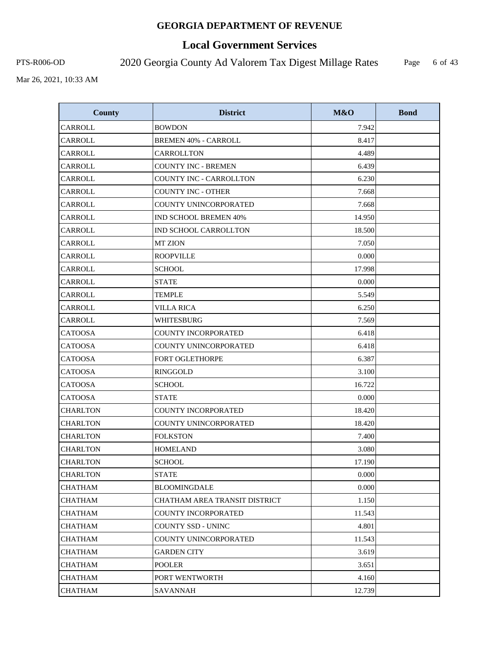# **Local Government Services**

PTS-R006-OD 2020 Georgia County Ad Valorem Tax Digest Millage Rates Page

6 of 43

| <b>County</b>   | <b>District</b>                | M&O    | <b>Bond</b> |
|-----------------|--------------------------------|--------|-------------|
| CARROLL         | <b>BOWDON</b>                  | 7.942  |             |
| CARROLL         | <b>BREMEN 40% - CARROLL</b>    | 8.417  |             |
| CARROLL         | CARROLLTON                     | 4.489  |             |
| CARROLL         | <b>COUNTY INC - BREMEN</b>     | 6.439  |             |
| CARROLL         | <b>COUNTY INC - CARROLLTON</b> | 6.230  |             |
| CARROLL         | <b>COUNTY INC - OTHER</b>      | 7.668  |             |
| CARROLL         | COUNTY UNINCORPORATED          | 7.668  |             |
| <b>CARROLL</b>  | <b>IND SCHOOL BREMEN 40%</b>   | 14.950 |             |
| CARROLL         | IND SCHOOL CARROLLTON          | 18.500 |             |
| CARROLL         | <b>MT ZION</b>                 | 7.050  |             |
| CARROLL         | <b>ROOPVILLE</b>               | 0.000  |             |
| CARROLL         | <b>SCHOOL</b>                  | 17.998 |             |
| CARROLL         | <b>STATE</b>                   | 0.000  |             |
| CARROLL         | <b>TEMPLE</b>                  | 5.549  |             |
| CARROLL         | <b>VILLA RICA</b>              | 6.250  |             |
| <b>CARROLL</b>  | <b>WHITESBURG</b>              | 7.569  |             |
| <b>CATOOSA</b>  | <b>COUNTY INCORPORATED</b>     | 6.418  |             |
| <b>CATOOSA</b>  | COUNTY UNINCORPORATED          | 6.418  |             |
| <b>CATOOSA</b>  | FORT OGLETHORPE                | 6.387  |             |
| <b>CATOOSA</b>  | <b>RINGGOLD</b>                | 3.100  |             |
| <b>CATOOSA</b>  | <b>SCHOOL</b>                  | 16.722 |             |
| <b>CATOOSA</b>  | <b>STATE</b>                   | 0.000  |             |
| <b>CHARLTON</b> | COUNTY INCORPORATED            | 18.420 |             |
| <b>CHARLTON</b> | COUNTY UNINCORPORATED          | 18.420 |             |
| <b>CHARLTON</b> | <b>FOLKSTON</b>                | 7.400  |             |
| <b>CHARLTON</b> | <b>HOMELAND</b>                | 3.080  |             |
| <b>CHARLTON</b> | <b>SCHOOL</b>                  | 17.190 |             |
| <b>CHARLTON</b> | <b>STATE</b>                   | 0.000  |             |
| CHATHAM         | BLOOMINGDALE                   | 0.000  |             |
| CHATHAM         | CHATHAM AREA TRANSIT DISTRICT  | 1.150  |             |
| <b>CHATHAM</b>  | COUNTY INCORPORATED            | 11.543 |             |
| CHATHAM         | COUNTY SSD - UNINC             | 4.801  |             |
| CHATHAM         | COUNTY UNINCORPORATED          | 11.543 |             |
| CHATHAM         | <b>GARDEN CITY</b>             | 3.619  |             |
| CHATHAM         | <b>POOLER</b>                  | 3.651  |             |
| <b>CHATHAM</b>  | PORT WENTWORTH                 | 4.160  |             |
| CHATHAM         | SAVANNAH                       | 12.739 |             |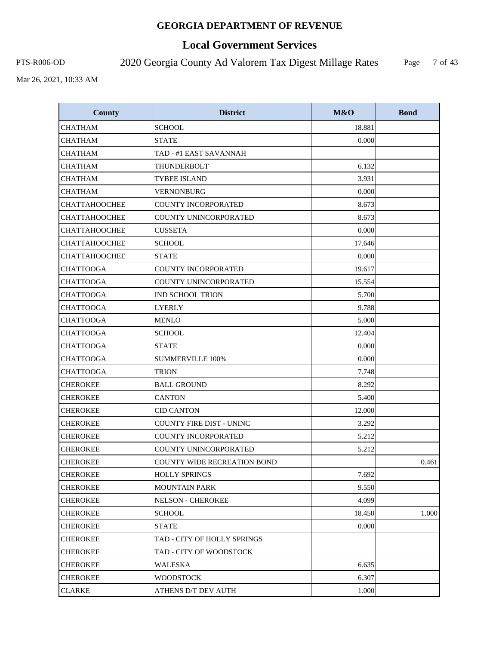# **Local Government Services**

PTS-R006-OD 2020 Georgia County Ad Valorem Tax Digest Millage Rates

Page 7 of 43

| <b>County</b>        | <b>District</b>                    | M&O    | <b>Bond</b> |
|----------------------|------------------------------------|--------|-------------|
| <b>CHATHAM</b>       | <b>SCHOOL</b>                      | 18.881 |             |
| <b>CHATHAM</b>       | <b>STATE</b>                       | 0.000  |             |
| <b>CHATHAM</b>       | TAD - #1 EAST SAVANNAH             |        |             |
| <b>CHATHAM</b>       | THUNDERBOLT                        | 6.132  |             |
| <b>CHATHAM</b>       | <b>TYBEE ISLAND</b>                | 3.931  |             |
| <b>CHATHAM</b>       | <b>VERNONBURG</b>                  | 0.000  |             |
| <b>СНАТТАНООСНЕЕ</b> | <b>COUNTY INCORPORATED</b>         | 8.673  |             |
| <b>CHATTAHOOCHEE</b> | COUNTY UNINCORPORATED              | 8.673  |             |
| <b>CHATTAHOOCHEE</b> | <b>CUSSETA</b>                     | 0.000  |             |
| <b>CHATTAHOOCHEE</b> | <b>SCHOOL</b>                      | 17.646 |             |
| <b>CHATTAHOOCHEE</b> | <b>STATE</b>                       | 0.000  |             |
| <b>CHATTOOGA</b>     | COUNTY INCORPORATED                | 19.617 |             |
| <b>CHATTOOGA</b>     | COUNTY UNINCORPORATED              | 15.554 |             |
| <b>CHATTOOGA</b>     | <b>IND SCHOOL TRION</b>            | 5.700  |             |
| <b>CHATTOOGA</b>     | <b>LYERLY</b>                      | 9.788  |             |
| <b>CHATTOOGA</b>     | <b>MENLO</b>                       | 5.000  |             |
| <b>CHATTOOGA</b>     | <b>SCHOOL</b>                      | 12.404 |             |
| <b>CHATTOOGA</b>     | <b>STATE</b>                       | 0.000  |             |
| <b>CHATTOOGA</b>     | <b>SUMMERVILLE 100%</b>            | 0.000  |             |
| <b>CHATTOOGA</b>     | <b>TRION</b>                       | 7.748  |             |
| <b>CHEROKEE</b>      | <b>BALL GROUND</b>                 | 8.292  |             |
| <b>CHEROKEE</b>      | <b>CANTON</b>                      | 5.400  |             |
| <b>CHEROKEE</b>      | <b>CID CANTON</b>                  | 12.000 |             |
| <b>CHEROKEE</b>      | <b>COUNTY FIRE DIST - UNINC</b>    | 3.292  |             |
| <b>CHEROKEE</b>      | <b>COUNTY INCORPORATED</b>         | 5.212  |             |
| <b>CHEROKEE</b>      | COUNTY UNINCORPORATED              | 5.212  |             |
| <b>CHEROKEE</b>      | <b>COUNTY WIDE RECREATION BOND</b> |        | 0.461       |
| <b>CHEROKEE</b>      | <b>HOLLY SPRINGS</b>               | 7.692  |             |
| <b>CHEROKEE</b>      | <b>MOUNTAIN PARK</b>               | 9.550  |             |
| <b>CHEROKEE</b>      | <b>NELSON - CHEROKEE</b>           | 4.099  |             |
| <b>CHEROKEE</b>      | <b>SCHOOL</b>                      | 18.450 | 1.000       |
| CHEROKEE             | STATE                              | 0.000  |             |
| <b>CHEROKEE</b>      | TAD - CITY OF HOLLY SPRINGS        |        |             |
| <b>CHEROKEE</b>      | TAD - CITY OF WOODSTOCK            |        |             |
| <b>CHEROKEE</b>      | WALESKA                            | 6.635  |             |
| <b>CHEROKEE</b>      | <b>WOODSTOCK</b>                   | 6.307  |             |
| <b>CLARKE</b>        | ATHENS D/T DEV AUTH                | 1.000  |             |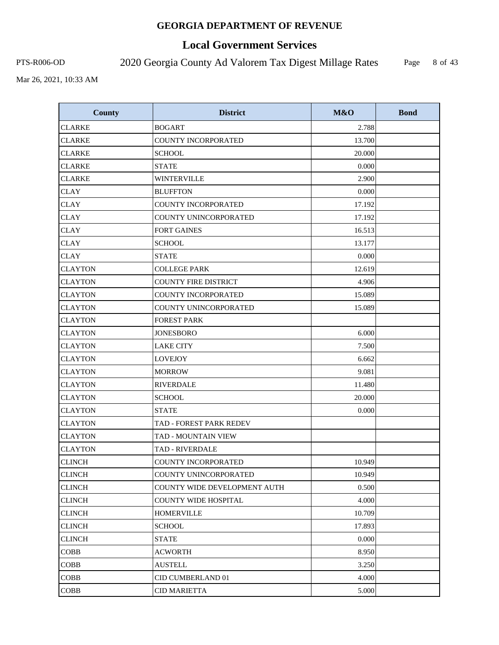# **Local Government Services**

PTS-R006-OD 2020 Georgia County Ad Valorem Tax Digest Millage Rates Page

8 of 43

| <b>County</b>  | <b>District</b>              | M&O    | <b>Bond</b> |
|----------------|------------------------------|--------|-------------|
| <b>CLARKE</b>  | <b>BOGART</b>                | 2.788  |             |
| <b>CLARKE</b>  | <b>COUNTY INCORPORATED</b>   | 13.700 |             |
| <b>CLARKE</b>  | <b>SCHOOL</b>                | 20.000 |             |
| <b>CLARKE</b>  | <b>STATE</b>                 | 0.000  |             |
| <b>CLARKE</b>  | <b>WINTERVILLE</b>           | 2.900  |             |
| <b>CLAY</b>    | <b>BLUFFTON</b>              | 0.000  |             |
| <b>CLAY</b>    | <b>COUNTY INCORPORATED</b>   | 17.192 |             |
| <b>CLAY</b>    | COUNTY UNINCORPORATED        | 17.192 |             |
| <b>CLAY</b>    | <b>FORT GAINES</b>           | 16.513 |             |
| <b>CLAY</b>    | <b>SCHOOL</b>                | 13.177 |             |
| <b>CLAY</b>    | <b>STATE</b>                 | 0.000  |             |
| <b>CLAYTON</b> | <b>COLLEGE PARK</b>          | 12.619 |             |
| <b>CLAYTON</b> | <b>COUNTY FIRE DISTRICT</b>  | 4.906  |             |
| <b>CLAYTON</b> | COUNTY INCORPORATED          | 15.089 |             |
| <b>CLAYTON</b> | <b>COUNTY UNINCORPORATED</b> | 15.089 |             |
| <b>CLAYTON</b> | <b>FOREST PARK</b>           |        |             |
| <b>CLAYTON</b> | <b>JONESBORO</b>             | 6.000  |             |
| <b>CLAYTON</b> | <b>LAKE CITY</b>             | 7.500  |             |
| <b>CLAYTON</b> | <b>LOVEJOY</b>               | 6.662  |             |
| <b>CLAYTON</b> | <b>MORROW</b>                | 9.081  |             |
| <b>CLAYTON</b> | <b>RIVERDALE</b>             | 11.480 |             |
| <b>CLAYTON</b> | <b>SCHOOL</b>                | 20.000 |             |
| <b>CLAYTON</b> | <b>STATE</b>                 | 0.000  |             |
| <b>CLAYTON</b> | TAD - FOREST PARK REDEV      |        |             |
| <b>CLAYTON</b> | <b>TAD - MOUNTAIN VIEW</b>   |        |             |
| <b>CLAYTON</b> | <b>TAD - RIVERDALE</b>       |        |             |
| <b>CLINCH</b>  | <b>COUNTY INCORPORATED</b>   | 10.949 |             |
| <b>CLINCH</b>  | COUNTY UNINCORPORATED        | 10.949 |             |
| <b>CLINCH</b>  | COUNTY WIDE DEVELOPMENT AUTH | 0.500  |             |
| <b>CLINCH</b>  | <b>COUNTY WIDE HOSPITAL</b>  | 4.000  |             |
| <b>CLINCH</b>  | <b>HOMERVILLE</b>            | 10.709 |             |
| <b>CLINCH</b>  | <b>SCHOOL</b>                | 17.893 |             |
| <b>CLINCH</b>  | <b>STATE</b>                 | 0.000  |             |
| <b>COBB</b>    | <b>ACWORTH</b>               | 8.950  |             |
| <b>COBB</b>    | <b>AUSTELL</b>               | 3.250  |             |
| <b>COBB</b>    | CID CUMBERLAND 01            | 4.000  |             |
| <b>COBB</b>    | <b>CID MARIETTA</b>          | 5.000  |             |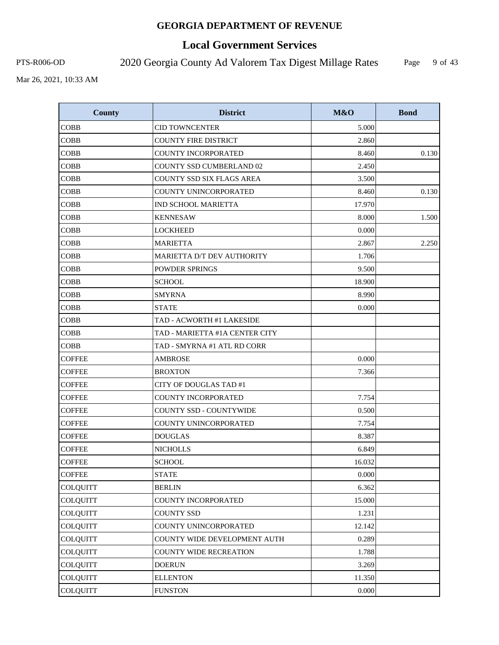# **Local Government Services**

PTS-R006-OD 2020 Georgia County Ad Valorem Tax Digest Millage Rates

Page 9 of 43

| <b>County</b>   | <b>District</b>                 | M&O    | <b>Bond</b> |
|-----------------|---------------------------------|--------|-------------|
| <b>COBB</b>     | <b>CID TOWNCENTER</b>           | 5.000  |             |
| <b>COBB</b>     | <b>COUNTY FIRE DISTRICT</b>     | 2.860  |             |
| <b>COBB</b>     | <b>COUNTY INCORPORATED</b>      | 8.460  | 0.130       |
| <b>COBB</b>     | <b>COUNTY SSD CUMBERLAND 02</b> | 2.450  |             |
| <b>COBB</b>     | COUNTY SSD SIX FLAGS AREA       | 3.500  |             |
| <b>COBB</b>     | COUNTY UNINCORPORATED           | 8.460  | 0.130       |
| <b>COBB</b>     | <b>IND SCHOOL MARIETTA</b>      | 17.970 |             |
| <b>COBB</b>     | <b>KENNESAW</b>                 | 8.000  | 1.500       |
| <b>COBB</b>     | <b>LOCKHEED</b>                 | 0.000  |             |
| <b>COBB</b>     | <b>MARIETTA</b>                 | 2.867  | 2.250       |
| <b>COBB</b>     | MARIETTA D/T DEV AUTHORITY      | 1.706  |             |
| <b>COBB</b>     | <b>POWDER SPRINGS</b>           | 9.500  |             |
| <b>COBB</b>     | <b>SCHOOL</b>                   | 18.900 |             |
| <b>COBB</b>     | <b>SMYRNA</b>                   | 8.990  |             |
| <b>COBB</b>     | <b>STATE</b>                    | 0.000  |             |
| <b>COBB</b>     | TAD - ACWORTH #1 LAKESIDE       |        |             |
| <b>COBB</b>     | TAD - MARIETTA #1A CENTER CITY  |        |             |
| <b>COBB</b>     | TAD - SMYRNA #1 ATL RD CORR     |        |             |
| COFFEE          | AMBROSE                         | 0.000  |             |
| <b>COFFEE</b>   | <b>BROXTON</b>                  | 7.366  |             |
| <b>COFFEE</b>   | CITY OF DOUGLAS TAD #1          |        |             |
| <b>COFFEE</b>   | <b>COUNTY INCORPORATED</b>      | 7.754  |             |
| <b>COFFEE</b>   | <b>COUNTY SSD - COUNTYWIDE</b>  | 0.500  |             |
| <b>COFFEE</b>   | COUNTY UNINCORPORATED           | 7.754  |             |
| <b>COFFEE</b>   | <b>DOUGLAS</b>                  | 8.387  |             |
| <b>COFFEE</b>   | <b>NICHOLLS</b>                 | 6.849  |             |
| <b>COFFEE</b>   | <b>SCHOOL</b>                   | 16.032 |             |
| <b>COFFEE</b>   | <b>STATE</b>                    | 0.000  |             |
| <b>COLQUITT</b> | <b>BERLIN</b>                   | 6.362  |             |
| <b>COLQUITT</b> | COUNTY INCORPORATED             | 15.000 |             |
| <b>COLQUITT</b> | <b>COUNTY SSD</b>               | 1.231  |             |
| <b>COLQUITT</b> | COUNTY UNINCORPORATED           | 12.142 |             |
| <b>COLQUITT</b> | COUNTY WIDE DEVELOPMENT AUTH    | 0.289  |             |
| <b>COLQUITT</b> | <b>COUNTY WIDE RECREATION</b>   | 1.788  |             |
| <b>COLQUITT</b> | <b>DOERUN</b>                   | 3.269  |             |
| <b>COLQUITT</b> | <b>ELLENTON</b>                 | 11.350 |             |
| <b>COLQUITT</b> | <b>FUNSTON</b>                  | 0.000  |             |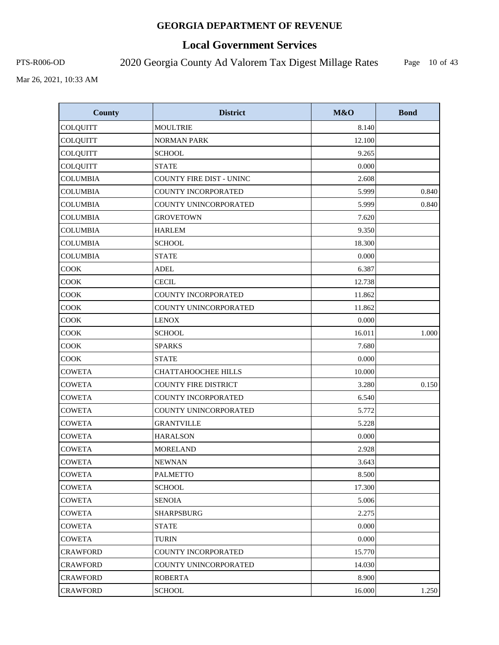# **Local Government Services**

PTS-R006-OD 2020 Georgia County Ad Valorem Tax Digest Millage Rates

Page 10 of 43

| <b>County</b>   | <b>District</b>             | M&O    | <b>Bond</b> |
|-----------------|-----------------------------|--------|-------------|
| <b>COLQUITT</b> | <b>MOULTRIE</b>             | 8.140  |             |
| <b>COLQUITT</b> | <b>NORMAN PARK</b>          | 12.100 |             |
| COLQUITT        | <b>SCHOOL</b>               | 9.265  |             |
| <b>COLQUITT</b> | <b>STATE</b>                | 0.000  |             |
| <b>COLUMBIA</b> | COUNTY FIRE DIST - UNINC    | 2.608  |             |
| <b>COLUMBIA</b> | COUNTY INCORPORATED         | 5.999  | 0.840       |
| <b>COLUMBIA</b> | COUNTY UNINCORPORATED       | 5.999  | 0.840       |
| <b>COLUMBIA</b> | <b>GROVETOWN</b>            | 7.620  |             |
| <b>COLUMBIA</b> | <b>HARLEM</b>               | 9.350  |             |
| <b>COLUMBIA</b> | <b>SCHOOL</b>               | 18.300 |             |
| <b>COLUMBIA</b> | <b>STATE</b>                | 0.000  |             |
| <b>COOK</b>     | <b>ADEL</b>                 | 6.387  |             |
| COOK            | <b>CECIL</b>                | 12.738 |             |
| COOK            | COUNTY INCORPORATED         | 11.862 |             |
| COOK            | COUNTY UNINCORPORATED       | 11.862 |             |
| <b>COOK</b>     | <b>LENOX</b>                | 0.000  |             |
| COOK            | <b>SCHOOL</b>               | 16.011 | 1.000       |
| COOK            | <b>SPARKS</b>               | 7.680  |             |
| COOK            | <b>STATE</b>                | 0.000  |             |
| <b>COWETA</b>   | CHATTAHOOCHEE HILLS         | 10.000 |             |
| <b>COWETA</b>   | <b>COUNTY FIRE DISTRICT</b> | 3.280  | 0.150       |
| <b>COWETA</b>   | COUNTY INCORPORATED         | 6.540  |             |
| <b>COWETA</b>   | COUNTY UNINCORPORATED       | 5.772  |             |
| <b>COWETA</b>   | <b>GRANTVILLE</b>           | 5.228  |             |
| <b>COWETA</b>   | <b>HARALSON</b>             | 0.000  |             |
| <b>COWETA</b>   | <b>MORELAND</b>             | 2.928  |             |
| <b>COWETA</b>   | <b>NEWNAN</b>               | 3.643  |             |
| <b>COWETA</b>   | <b>PALMETTO</b>             | 8.500  |             |
| <b>COWETA</b>   | <b>SCHOOL</b>               | 17.300 |             |
| COWETA          | <b>SENOIA</b>               | 5.006  |             |
| <b>COWETA</b>   | <b>SHARPSBURG</b>           | 2.275  |             |
| <b>COWETA</b>   | STATE                       | 0.000  |             |
| <b>COWETA</b>   | <b>TURIN</b>                | 0.000  |             |
| <b>CRAWFORD</b> | COUNTY INCORPORATED         | 15.770 |             |
| CRAWFORD        | COUNTY UNINCORPORATED       | 14.030 |             |
| <b>CRAWFORD</b> | <b>ROBERTA</b>              | 8.900  |             |
| <b>CRAWFORD</b> | <b>SCHOOL</b>               | 16.000 | 1.250       |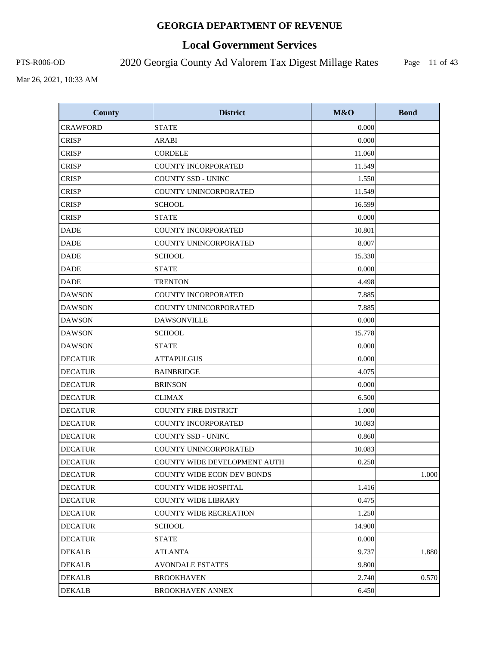# **Local Government Services**

PTS-R006-OD 2020 Georgia County Ad Valorem Tax Digest Millage Rates

Page 11 of 43

| <b>County</b>   | <b>District</b>                   | M&O    | <b>Bond</b> |
|-----------------|-----------------------------------|--------|-------------|
| <b>CRAWFORD</b> | <b>STATE</b>                      | 0.000  |             |
| <b>CRISP</b>    | <b>ARABI</b>                      | 0.000  |             |
| <b>CRISP</b>    | <b>CORDELE</b>                    | 11.060 |             |
| <b>CRISP</b>    | COUNTY INCORPORATED               | 11.549 |             |
| <b>CRISP</b>    | <b>COUNTY SSD - UNINC</b>         | 1.550  |             |
| <b>CRISP</b>    | COUNTY UNINCORPORATED             | 11.549 |             |
| <b>CRISP</b>    | <b>SCHOOL</b>                     | 16.599 |             |
| <b>CRISP</b>    | <b>STATE</b>                      | 0.000  |             |
| <b>DADE</b>     | <b>COUNTY INCORPORATED</b>        | 10.801 |             |
| <b>DADE</b>     | COUNTY UNINCORPORATED             | 8.007  |             |
| <b>DADE</b>     | <b>SCHOOL</b>                     | 15.330 |             |
| <b>DADE</b>     | <b>STATE</b>                      | 0.000  |             |
| <b>DADE</b>     | <b>TRENTON</b>                    | 4.498  |             |
| <b>DAWSON</b>   | <b>COUNTY INCORPORATED</b>        | 7.885  |             |
| <b>DAWSON</b>   | COUNTY UNINCORPORATED             | 7.885  |             |
| <b>DAWSON</b>   | <b>DAWSONVILLE</b>                | 0.000  |             |
| <b>DAWSON</b>   | <b>SCHOOL</b>                     | 15.778 |             |
| <b>DAWSON</b>   | <b>STATE</b>                      | 0.000  |             |
| <b>DECATUR</b>  | <b>ATTAPULGUS</b>                 | 0.000  |             |
| <b>DECATUR</b>  | <b>BAINBRIDGE</b>                 | 4.075  |             |
| <b>DECATUR</b>  | <b>BRINSON</b>                    | 0.000  |             |
| <b>DECATUR</b>  | <b>CLIMAX</b>                     | 6.500  |             |
| <b>DECATUR</b>  | <b>COUNTY FIRE DISTRICT</b>       | 1.000  |             |
| <b>DECATUR</b>  | <b>COUNTY INCORPORATED</b>        | 10.083 |             |
| <b>DECATUR</b>  | COUNTY SSD - UNINC                | 0.860  |             |
| <b>DECATUR</b>  | COUNTY UNINCORPORATED             | 10.083 |             |
| <b>DECATUR</b>  | COUNTY WIDE DEVELOPMENT AUTH      | 0.250  |             |
| <b>DECATUR</b>  | <b>COUNTY WIDE ECON DEV BONDS</b> |        | 1.000       |
| <b>DECATUR</b>  | <b>COUNTY WIDE HOSPITAL</b>       | 1.416  |             |
| <b>DECATUR</b>  | COUNTY WIDE LIBRARY               | 0.475  |             |
| <b>DECATUR</b>  | <b>COUNTY WIDE RECREATION</b>     | 1.250  |             |
| <b>DECATUR</b>  | <b>SCHOOL</b>                     | 14.900 |             |
| <b>DECATUR</b>  | <b>STATE</b>                      | 0.000  |             |
| <b>DEKALB</b>   | <b>ATLANTA</b>                    | 9.737  | 1.880       |
| DEKALB          | <b>AVONDALE ESTATES</b>           | 9.800  |             |
| <b>DEKALB</b>   | <b>BROOKHAVEN</b>                 | 2.740  | 0.570       |
| <b>DEKALB</b>   | <b>BROOKHAVEN ANNEX</b>           | 6.450  |             |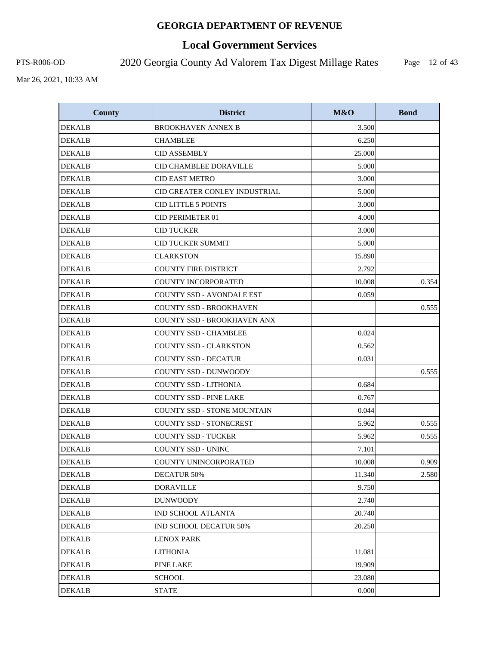# **Local Government Services**

PTS-R006-OD 2020 Georgia County Ad Valorem Tax Digest Millage Rates

Page 12 of 43

| <b>County</b> | <b>District</b>                  | M&O    | <b>Bond</b> |
|---------------|----------------------------------|--------|-------------|
| <b>DEKALB</b> | <b>BROOKHAVEN ANNEX B</b>        | 3.500  |             |
| <b>DEKALB</b> | <b>CHAMBLEE</b>                  | 6.250  |             |
| <b>DEKALB</b> | <b>CID ASSEMBLY</b>              | 25.000 |             |
| <b>DEKALB</b> | CID CHAMBLEE DORAVILLE           | 5.000  |             |
| <b>DEKALB</b> | <b>CID EAST METRO</b>            | 3.000  |             |
| <b>DEKALB</b> | CID GREATER CONLEY INDUSTRIAL    | 5.000  |             |
| <b>DEKALB</b> | <b>CID LITTLE 5 POINTS</b>       | 3.000  |             |
| <b>DEKALB</b> | CID PERIMETER 01                 | 4.000  |             |
| <b>DEKALB</b> | <b>CID TUCKER</b>                | 3.000  |             |
| <b>DEKALB</b> | <b>CID TUCKER SUMMIT</b>         | 5.000  |             |
| <b>DEKALB</b> | <b>CLARKSTON</b>                 | 15.890 |             |
| <b>DEKALB</b> | <b>COUNTY FIRE DISTRICT</b>      | 2.792  |             |
| <b>DEKALB</b> | <b>COUNTY INCORPORATED</b>       | 10.008 | 0.354       |
| DEKALB        | <b>COUNTY SSD - AVONDALE EST</b> | 0.059  |             |
| <b>DEKALB</b> | <b>COUNTY SSD - BROOKHAVEN</b>   |        | 0.555       |
| <b>DEKALB</b> | COUNTY SSD - BROOKHAVEN ANX      |        |             |
| <b>DEKALB</b> | <b>COUNTY SSD - CHAMBLEE</b>     | 0.024  |             |
| <b>DEKALB</b> | <b>COUNTY SSD - CLARKSTON</b>    | 0.562  |             |
| <b>DEKALB</b> | COUNTY SSD - DECATUR             | 0.031  |             |
| <b>DEKALB</b> | COUNTY SSD - DUNWOODY            |        | 0.555       |
| <b>DEKALB</b> | <b>COUNTY SSD - LITHONIA</b>     | 0.684  |             |
| <b>DEKALB</b> | <b>COUNTY SSD - PINE LAKE</b>    | 0.767  |             |
| <b>DEKALB</b> | COUNTY SSD - STONE MOUNTAIN      | 0.044  |             |
| <b>DEKALB</b> | <b>COUNTY SSD - STONECREST</b>   | 5.962  | 0.555       |
| <b>DEKALB</b> | <b>COUNTY SSD - TUCKER</b>       | 5.962  | 0.555       |
| <b>DEKALB</b> | <b>COUNTY SSD - UNINC</b>        | 7.101  |             |
| <b>DEKALB</b> | COUNTY UNINCORPORATED            | 10.008 | 0.909       |
| <b>DEKALB</b> | <b>DECATUR 50%</b>               | 11.340 | 2.580       |
| DEKALB        | <b>DORAVILLE</b>                 | 9.750  |             |
| <b>DEKALB</b> | <b>DUNWOODY</b>                  | 2.740  |             |
| <b>DEKALB</b> | IND SCHOOL ATLANTA               | 20.740 |             |
| <b>DEKALB</b> | IND SCHOOL DECATUR 50%           | 20.250 |             |
| <b>DEKALB</b> | <b>LENOX PARK</b>                |        |             |
| <b>DEKALB</b> | <b>LITHONIA</b>                  | 11.081 |             |
| <b>DEKALB</b> | <b>PINE LAKE</b>                 | 19.909 |             |
| <b>DEKALB</b> | <b>SCHOOL</b>                    | 23.080 |             |
| <b>DEKALB</b> | <b>STATE</b>                     | 0.000  |             |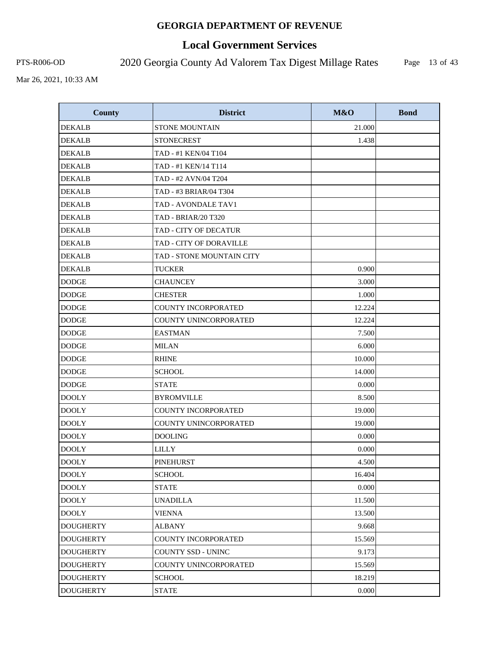# **Local Government Services**

PTS-R006-OD 2020 Georgia County Ad Valorem Tax Digest Millage Rates

Page 13 of 43

| <b>County</b>    | <b>District</b>            | M&O    | <b>Bond</b> |
|------------------|----------------------------|--------|-------------|
| <b>DEKALB</b>    | <b>STONE MOUNTAIN</b>      | 21.000 |             |
| <b>DEKALB</b>    | <b>STONECREST</b>          | 1.438  |             |
| <b>DEKALB</b>    | TAD - #1 KEN/04 T104       |        |             |
| <b>DEKALB</b>    | TAD - #1 KEN/14 T114       |        |             |
| <b>DEKALB</b>    | TAD - #2 AVN/04 T204       |        |             |
| <b>DEKALB</b>    | TAD - #3 BRIAR/04 T304     |        |             |
| <b>DEKALB</b>    | TAD - AVONDALE TAV1        |        |             |
| <b>DEKALB</b>    | <b>TAD - BRIAR/20 T320</b> |        |             |
| <b>DEKALB</b>    | TAD - CITY OF DECATUR      |        |             |
| <b>DEKALB</b>    | TAD - CITY OF DORAVILLE    |        |             |
| <b>DEKALB</b>    | TAD - STONE MOUNTAIN CITY  |        |             |
| <b>DEKALB</b>    | <b>TUCKER</b>              | 0.900  |             |
| <b>DODGE</b>     | <b>CHAUNCEY</b>            | 3.000  |             |
| <b>DODGE</b>     | <b>CHESTER</b>             | 1.000  |             |
| <b>DODGE</b>     | COUNTY INCORPORATED        | 12.224 |             |
| <b>DODGE</b>     | COUNTY UNINCORPORATED      | 12.224 |             |
| <b>DODGE</b>     | <b>EASTMAN</b>             | 7.500  |             |
| <b>DODGE</b>     | <b>MILAN</b>               | 6.000  |             |
| <b>DODGE</b>     | <b>RHINE</b>               | 10.000 |             |
| <b>DODGE</b>     | <b>SCHOOL</b>              | 14.000 |             |
| <b>DODGE</b>     | <b>STATE</b>               | 0.000  |             |
| <b>DOOLY</b>     | <b>BYROMVILLE</b>          | 8.500  |             |
| <b>DOOLY</b>     | <b>COUNTY INCORPORATED</b> | 19.000 |             |
| <b>DOOLY</b>     | COUNTY UNINCORPORATED      | 19.000 |             |
| <b>DOOLY</b>     | <b>DOOLING</b>             | 0.000  |             |
| <b>DOOLY</b>     | <b>LILLY</b>               | 0.000  |             |
| <b>DOOLY</b>     | <b>PINEHURST</b>           | 4.500  |             |
| <b>DOOLY</b>     | <b>SCHOOL</b>              | 16.404 |             |
| <b>DOOLY</b>     | <b>STATE</b>               | 0.000  |             |
| <b>DOOLY</b>     | <b>UNADILLA</b>            | 11.500 |             |
| <b>DOOLY</b>     | <b>VIENNA</b>              | 13.500 |             |
| <b>DOUGHERTY</b> | <b>ALBANY</b>              | 9.668  |             |
| <b>DOUGHERTY</b> | COUNTY INCORPORATED        | 15.569 |             |
| <b>DOUGHERTY</b> | <b>COUNTY SSD - UNINC</b>  | 9.173  |             |
| <b>DOUGHERTY</b> | COUNTY UNINCORPORATED      | 15.569 |             |
| <b>DOUGHERTY</b> | <b>SCHOOL</b>              | 18.219 |             |
| <b>DOUGHERTY</b> | <b>STATE</b>               | 0.000  |             |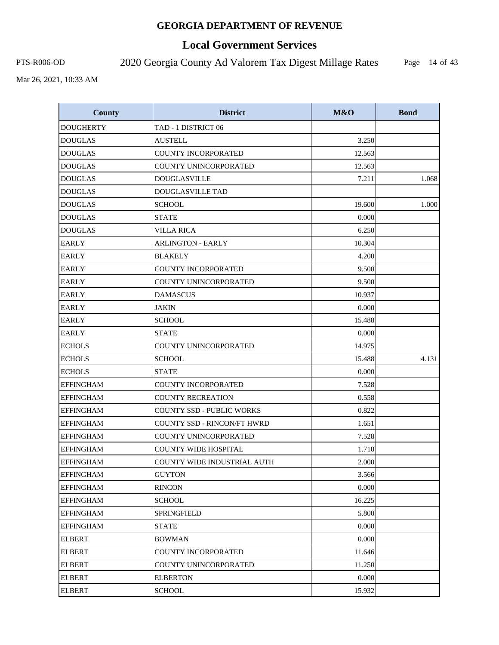# **Local Government Services**

PTS-R006-OD 2020 Georgia County Ad Valorem Tax Digest Millage Rates

Page 14 of 43

| <b>County</b>    | <b>District</b>             | M&O    | <b>Bond</b> |
|------------------|-----------------------------|--------|-------------|
| <b>DOUGHERTY</b> | TAD - 1 DISTRICT 06         |        |             |
| <b>DOUGLAS</b>   | <b>AUSTELL</b>              | 3.250  |             |
| <b>DOUGLAS</b>   | <b>COUNTY INCORPORATED</b>  | 12.563 |             |
| <b>DOUGLAS</b>   | COUNTY UNINCORPORATED       | 12.563 |             |
| <b>DOUGLAS</b>   | <b>DOUGLASVILLE</b>         | 7.211  | 1.068       |
| <b>DOUGLAS</b>   | DOUGLASVILLE TAD            |        |             |
| <b>DOUGLAS</b>   | <b>SCHOOL</b>               | 19.600 | 1.000       |
| <b>DOUGLAS</b>   | <b>STATE</b>                | 0.000  |             |
| <b>DOUGLAS</b>   | <b>VILLA RICA</b>           | 6.250  |             |
| <b>EARLY</b>     | <b>ARLINGTON - EARLY</b>    | 10.304 |             |
| <b>EARLY</b>     | <b>BLAKELY</b>              | 4.200  |             |
| <b>EARLY</b>     | COUNTY INCORPORATED         | 9.500  |             |
| <b>EARLY</b>     | COUNTY UNINCORPORATED       | 9.500  |             |
| <b>EARLY</b>     | <b>DAMASCUS</b>             | 10.937 |             |
| <b>EARLY</b>     | <b>JAKIN</b>                | 0.000  |             |
| <b>EARLY</b>     | <b>SCHOOL</b>               | 15.488 |             |
| EARLY            | <b>STATE</b>                | 0.000  |             |
| <b>ECHOLS</b>    | COUNTY UNINCORPORATED       | 14.975 |             |
| <b>ECHOLS</b>    | <b>SCHOOL</b>               | 15.488 | 4.131       |
| <b>ECHOLS</b>    | <b>STATE</b>                | 0.000  |             |
| <b>EFFINGHAM</b> | <b>COUNTY INCORPORATED</b>  | 7.528  |             |
| <b>EFFINGHAM</b> | <b>COUNTY RECREATION</b>    | 0.558  |             |
| <b>EFFINGHAM</b> | COUNTY SSD - PUBLIC WORKS   | 0.822  |             |
| <b>EFFINGHAM</b> | COUNTY SSD - RINCON/FT HWRD | 1.651  |             |
| <b>EFFINGHAM</b> | COUNTY UNINCORPORATED       | 7.528  |             |
| <b>EFFINGHAM</b> | <b>COUNTY WIDE HOSPITAL</b> | 1.710  |             |
| <b>EFFINGHAM</b> | COUNTY WIDE INDUSTRIAL AUTH | 2.000  |             |
| <b>EFFINGHAM</b> | <b>GUYTON</b>               | 3.566  |             |
| <b>EFFINGHAM</b> | <b>RINCON</b>               | 0.000  |             |
| <b>EFFINGHAM</b> | <b>SCHOOL</b>               | 16.225 |             |
| <b>EFFINGHAM</b> | <b>SPRINGFIELD</b>          | 5.800  |             |
| <b>EFFINGHAM</b> | STATE                       | 0.000  |             |
| <b>ELBERT</b>    | <b>BOWMAN</b>               | 0.000  |             |
| <b>ELBERT</b>    | <b>COUNTY INCORPORATED</b>  | 11.646 |             |
| ELBERT           | COUNTY UNINCORPORATED       | 11.250 |             |
| <b>ELBERT</b>    | <b>ELBERTON</b>             | 0.000  |             |
| <b>ELBERT</b>    | <b>SCHOOL</b>               | 15.932 |             |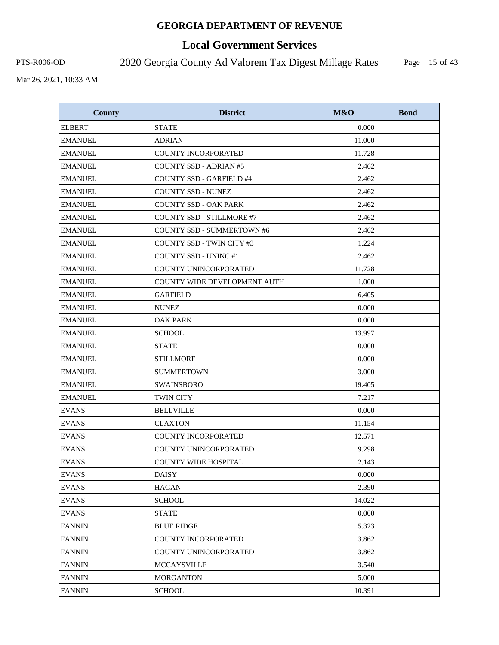# **Local Government Services**

PTS-R006-OD 2020 Georgia County Ad Valorem Tax Digest Millage Rates

Page 15 of 43

| <b>County</b>  | <b>District</b>                     | M&O    | <b>Bond</b> |
|----------------|-------------------------------------|--------|-------------|
| <b>ELBERT</b>  | <b>STATE</b>                        | 0.000  |             |
| <b>EMANUEL</b> | <b>ADRIAN</b>                       | 11.000 |             |
| <b>EMANUEL</b> | <b>COUNTY INCORPORATED</b>          | 11.728 |             |
| <b>EMANUEL</b> | <b>COUNTY SSD - ADRIAN #5</b>       | 2.462  |             |
| <b>EMANUEL</b> | <b>COUNTY SSD - GARFIELD #4</b>     | 2.462  |             |
| <b>EMANUEL</b> | <b>COUNTY SSD - NUNEZ</b>           | 2.462  |             |
| <b>EMANUEL</b> | <b>COUNTY SSD - OAK PARK</b>        | 2.462  |             |
| <b>EMANUEL</b> | <b>COUNTY SSD - STILLMORE #7</b>    | 2.462  |             |
| <b>EMANUEL</b> | <b>COUNTY SSD - SUMMERTOWN #6</b>   | 2.462  |             |
| <b>EMANUEL</b> | <b>COUNTY SSD - TWIN CITY #3</b>    | 1.224  |             |
| <b>EMANUEL</b> | <b>COUNTY SSD - UNINC #1</b>        | 2.462  |             |
| <b>EMANUEL</b> | COUNTY UNINCORPORATED               | 11.728 |             |
| <b>EMANUEL</b> | <b>COUNTY WIDE DEVELOPMENT AUTH</b> | 1.000  |             |
| <b>EMANUEL</b> | GARFIELD                            | 6.405  |             |
| <b>EMANUEL</b> | <b>NUNEZ</b>                        | 0.000  |             |
| <b>EMANUEL</b> | <b>OAK PARK</b>                     | 0.000  |             |
| <b>EMANUEL</b> | <b>SCHOOL</b>                       | 13.997 |             |
| <b>EMANUEL</b> | <b>STATE</b>                        | 0.000  |             |
| <b>EMANUEL</b> | <b>STILLMORE</b>                    | 0.000  |             |
| <b>EMANUEL</b> | <b>SUMMERTOWN</b>                   | 3.000  |             |
| <b>EMANUEL</b> | <b>SWAINSBORO</b>                   | 19.405 |             |
| <b>EMANUEL</b> | <b>TWIN CITY</b>                    | 7.217  |             |
| <b>EVANS</b>   | <b>BELLVILLE</b>                    | 0.000  |             |
| <b>EVANS</b>   | <b>CLAXTON</b>                      | 11.154 |             |
| <b>EVANS</b>   | <b>COUNTY INCORPORATED</b>          | 12.571 |             |
| <b>EVANS</b>   | COUNTY UNINCORPORATED               | 9.298  |             |
| <b>EVANS</b>   | COUNTY WIDE HOSPITAL                | 2.143  |             |
| <b>EVANS</b>   | <b>DAISY</b>                        | 0.000  |             |
| <b>EVANS</b>   | <b>HAGAN</b>                        | 2.390  |             |
| <b>EVANS</b>   | <b>SCHOOL</b>                       | 14.022 |             |
| <b>EVANS</b>   | <b>STATE</b>                        | 0.000  |             |
| <b>FANNIN</b>  | <b>BLUE RIDGE</b>                   | 5.323  |             |
| <b>FANNIN</b>  | COUNTY INCORPORATED                 | 3.862  |             |
| <b>FANNIN</b>  | COUNTY UNINCORPORATED               | 3.862  |             |
| <b>FANNIN</b>  | MCCAYSVILLE                         | 3.540  |             |
| <b>FANNIN</b>  | <b>MORGANTON</b>                    | 5.000  |             |
| <b>FANNIN</b>  | <b>SCHOOL</b>                       | 10.391 |             |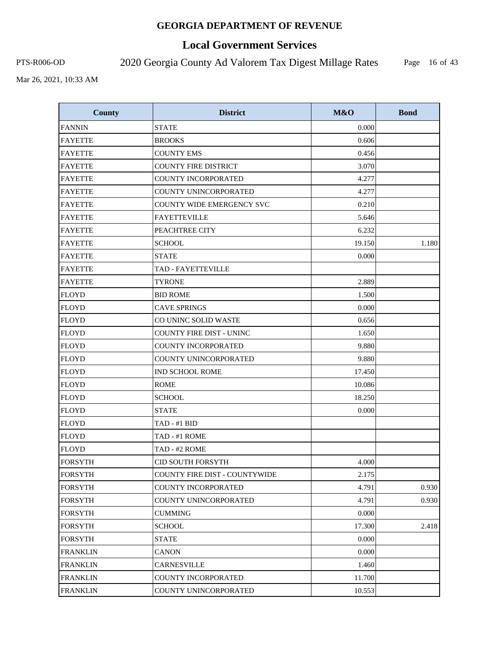# **Local Government Services**

PTS-R006-OD 2020 Georgia County Ad Valorem Tax Digest Millage Rates

Page 16 of 43

| <b>County</b>   | <b>District</b>                  | M&O    | <b>Bond</b> |
|-----------------|----------------------------------|--------|-------------|
| <b>FANNIN</b>   | <b>STATE</b>                     | 0.000  |             |
| <b>FAYETTE</b>  | <b>BROOKS</b>                    | 0.606  |             |
| <b>FAYETTE</b>  | <b>COUNTY EMS</b>                | 0.456  |             |
| <b>FAYETTE</b>  | <b>COUNTY FIRE DISTRICT</b>      | 3.070  |             |
| <b>FAYETTE</b>  | <b>COUNTY INCORPORATED</b>       | 4.277  |             |
| <b>FAYETTE</b>  | COUNTY UNINCORPORATED            | 4.277  |             |
| <b>FAYETTE</b>  | <b>COUNTY WIDE EMERGENCY SVC</b> | 0.210  |             |
| <b>FAYETTE</b>  | <b>FAYETTEVILLE</b>              | 5.646  |             |
| <b>FAYETTE</b>  | PEACHTREE CITY                   | 6.232  |             |
| <b>FAYETTE</b>  | <b>SCHOOL</b>                    | 19.150 | 1.180       |
| <b>FAYETTE</b>  | <b>STATE</b>                     | 0.000  |             |
| <b>FAYETTE</b>  | TAD - FAYETTEVILLE               |        |             |
| <b>FAYETTE</b>  | <b>TYRONE</b>                    | 2.889  |             |
| <b>FLOYD</b>    | <b>BID ROME</b>                  | 1.500  |             |
| <b>FLOYD</b>    | <b>CAVE SPRINGS</b>              | 0.000  |             |
| <b>FLOYD</b>    | CO UNINC SOLID WASTE             | 0.656  |             |
| <b>FLOYD</b>    | <b>COUNTY FIRE DIST - UNINC</b>  | 1.650  |             |
| <b>FLOYD</b>    | COUNTY INCORPORATED              | 9.880  |             |
| <b>FLOYD</b>    | COUNTY UNINCORPORATED            | 9.880  |             |
| <b>FLOYD</b>    | <b>IND SCHOOL ROME</b>           | 17.450 |             |
| <b>FLOYD</b>    | <b>ROME</b>                      | 10.086 |             |
| <b>FLOYD</b>    | <b>SCHOOL</b>                    | 18.250 |             |
| <b>FLOYD</b>    | <b>STATE</b>                     | 0.000  |             |
| <b>FLOYD</b>    | TAD - #1 BID                     |        |             |
| <b>FLOYD</b>    | TAD - #1 ROME                    |        |             |
| <b>FLOYD</b>    | TAD - #2 ROME                    |        |             |
| <b>FORSYTH</b>  | <b>CID SOUTH FORSYTH</b>         | 4.000  |             |
| <b>FORSYTH</b>  | COUNTY FIRE DIST - COUNTYWIDE    | 2.175  |             |
| <b>FORSYTH</b>  | <b>COUNTY INCORPORATED</b>       | 4.791  | 0.930       |
| <b>FORSYTH</b>  | COUNTY UNINCORPORATED            | 4.791  | 0.930       |
| <b>FORSYTH</b>  | <b>CUMMING</b>                   | 0.000  |             |
| <b>FORSYTH</b>  | <b>SCHOOL</b>                    | 17.300 | 2.418       |
| <b>FORSYTH</b>  | <b>STATE</b>                     | 0.000  |             |
| <b>FRANKLIN</b> | <b>CANON</b>                     | 0.000  |             |
| <b>FRANKLIN</b> | CARNESVILLE                      | 1.460  |             |
| <b>FRANKLIN</b> | COUNTY INCORPORATED              | 11.700 |             |
| <b>FRANKLIN</b> | COUNTY UNINCORPORATED            | 10.553 |             |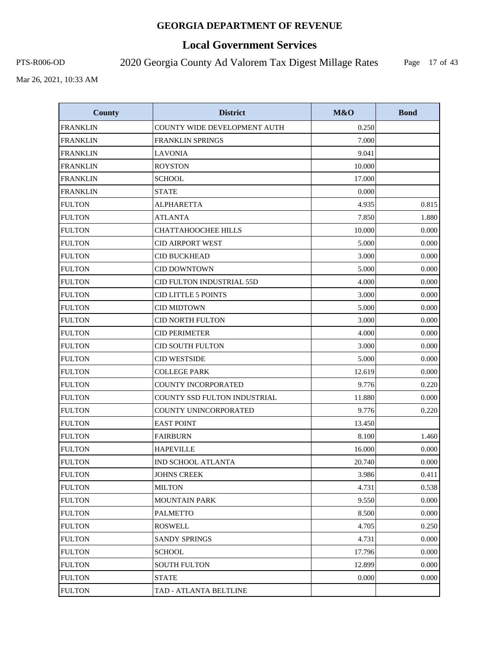# **Local Government Services**

PTS-R006-OD 2020 Georgia County Ad Valorem Tax Digest Millage Rates

Page 17 of 43

| <b>County</b>   | <b>District</b>                     | M&O    | <b>Bond</b> |
|-----------------|-------------------------------------|--------|-------------|
| <b>FRANKLIN</b> | COUNTY WIDE DEVELOPMENT AUTH        | 0.250  |             |
| <b>FRANKLIN</b> | <b>FRANKLIN SPRINGS</b>             | 7.000  |             |
| <b>FRANKLIN</b> | <b>LAVONIA</b>                      | 9.041  |             |
| <b>FRANKLIN</b> | <b>ROYSTON</b>                      | 10.000 |             |
| <b>FRANKLIN</b> | <b>SCHOOL</b>                       | 17.000 |             |
| <b>FRANKLIN</b> | <b>STATE</b>                        | 0.000  |             |
| <b>FULTON</b>   | <b>ALPHARETTA</b>                   | 4.935  | 0.815       |
| <b>FULTON</b>   | <b>ATLANTA</b>                      | 7.850  | 1.880       |
| <b>FULTON</b>   | <b>CHATTAHOOCHEE HILLS</b>          | 10.000 | 0.000       |
| <b>FULTON</b>   | <b>CID AIRPORT WEST</b>             | 5.000  | 0.000       |
| <b>FULTON</b>   | <b>CID BUCKHEAD</b>                 | 3.000  | 0.000       |
| <b>FULTON</b>   | <b>CID DOWNTOWN</b>                 | 5.000  | 0.000       |
| <b>FULTON</b>   | <b>CID FULTON INDUSTRIAL 55D</b>    | 4.000  | 0.000       |
| <b>FULTON</b>   | <b>CID LITTLE 5 POINTS</b>          | 3.000  | 0.000       |
| <b>FULTON</b>   | <b>CID MIDTOWN</b>                  | 5.000  | 0.000       |
| <b>FULTON</b>   | <b>CID NORTH FULTON</b>             | 3.000  | 0.000       |
| <b>FULTON</b>   | <b>CID PERIMETER</b>                | 4.000  | 0.000       |
| <b>FULTON</b>   | <b>CID SOUTH FULTON</b>             | 3.000  | 0.000       |
| <b>FULTON</b>   | <b>CID WESTSIDE</b>                 | 5.000  | 0.000       |
| <b>FULTON</b>   | <b>COLLEGE PARK</b>                 | 12.619 | 0.000       |
| <b>FULTON</b>   | COUNTY INCORPORATED                 | 9.776  | 0.220       |
| <b>FULTON</b>   | <b>COUNTY SSD FULTON INDUSTRIAL</b> | 11.880 | 0.000       |
| <b>FULTON</b>   | COUNTY UNINCORPORATED               | 9.776  | 0.220       |
| <b>FULTON</b>   | <b>EAST POINT</b>                   | 13.450 |             |
| <b>FULTON</b>   | <b>FAIRBURN</b>                     | 8.100  | 1.460       |
| <b>FULTON</b>   | <b>HAPEVILLE</b>                    | 16.000 | 0.000       |
| <b>FULTON</b>   | IND SCHOOL ATLANTA                  | 20.740 | 0.000       |
| <b>FULTON</b>   | <b>JOHNS CREEK</b>                  | 3.986  | 0.411       |
| <b>FULTON</b>   | <b>MILTON</b>                       | 4.731  | 0.538       |
| <b>FULTON</b>   | <b>MOUNTAIN PARK</b>                | 9.550  | 0.000       |
| <b>FULTON</b>   | <b>PALMETTO</b>                     | 8.500  | 0.000       |
| <b>FULTON</b>   | <b>ROSWELL</b>                      | 4.705  | 0.250       |
| <b>FULTON</b>   | <b>SANDY SPRINGS</b>                | 4.731  | 0.000       |
| <b>FULTON</b>   | <b>SCHOOL</b>                       | 17.796 | 0.000       |
| <b>FULTON</b>   | <b>SOUTH FULTON</b>                 | 12.899 | 0.000       |
| <b>FULTON</b>   | <b>STATE</b>                        | 0.000  | 0.000       |
| <b>FULTON</b>   | TAD - ATLANTA BELTLINE              |        |             |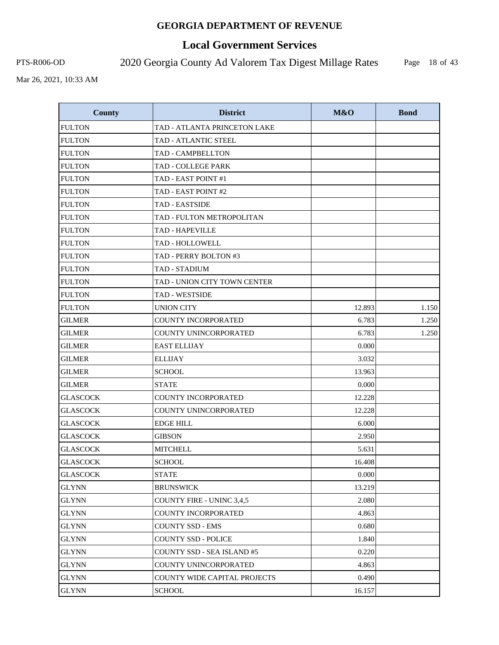# **Local Government Services**

PTS-R006-OD 2020 Georgia County Ad Valorem Tax Digest Millage Rates

Page 18 of 43

| <b>County</b>   | <b>District</b>                     | M&O    | <b>Bond</b> |
|-----------------|-------------------------------------|--------|-------------|
| <b>FULTON</b>   | TAD - ATLANTA PRINCETON LAKE        |        |             |
| <b>FULTON</b>   | <b>TAD - ATLANTIC STEEL</b>         |        |             |
| <b>FULTON</b>   | <b>TAD - CAMPBELLTON</b>            |        |             |
| <b>FULTON</b>   | TAD - COLLEGE PARK                  |        |             |
| <b>FULTON</b>   | TAD - EAST POINT #1                 |        |             |
| <b>FULTON</b>   | TAD - EAST POINT #2                 |        |             |
| <b>FULTON</b>   | TAD - EASTSIDE                      |        |             |
| <b>FULTON</b>   | TAD - FULTON METROPOLITAN           |        |             |
| <b>FULTON</b>   | <b>TAD - HAPEVILLE</b>              |        |             |
| <b>FULTON</b>   | TAD - HOLLOWELL                     |        |             |
| <b>FULTON</b>   | TAD - PERRY BOLTON #3               |        |             |
| <b>FULTON</b>   | <b>TAD - STADIUM</b>                |        |             |
| <b>FULTON</b>   | TAD - UNION CITY TOWN CENTER        |        |             |
| <b>FULTON</b>   | <b>TAD - WESTSIDE</b>               |        |             |
| <b>FULTON</b>   | <b>UNION CITY</b>                   | 12.893 | 1.150       |
| <b>GILMER</b>   | <b>COUNTY INCORPORATED</b>          | 6.783  | 1.250       |
| <b>GILMER</b>   | COUNTY UNINCORPORATED               | 6.783  | 1.250       |
| <b>GILMER</b>   | <b>EAST ELLIJAY</b>                 | 0.000  |             |
| <b>GILMER</b>   | <b>ELLIJAY</b>                      | 3.032  |             |
| <b>GILMER</b>   | <b>SCHOOL</b>                       | 13.963 |             |
| <b>GILMER</b>   | <b>STATE</b>                        | 0.000  |             |
| <b>GLASCOCK</b> | <b>COUNTY INCORPORATED</b>          | 12.228 |             |
| <b>GLASCOCK</b> | COUNTY UNINCORPORATED               | 12.228 |             |
| <b>GLASCOCK</b> | <b>EDGE HILL</b>                    | 6.000  |             |
| <b>GLASCOCK</b> | <b>GIBSON</b>                       | 2.950  |             |
| <b>GLASCOCK</b> | <b>MITCHELL</b>                     | 5.631  |             |
| <b>GLASCOCK</b> | <b>SCHOOL</b>                       | 16.408 |             |
| <b>GLASCOCK</b> | <b>STATE</b>                        | 0.000  |             |
| GLYNN           | <b>BRUNSWICK</b>                    | 13.219 |             |
| GLYNN           | <b>COUNTY FIRE - UNINC 3,4,5</b>    | 2.080  |             |
| <b>GLYNN</b>    | <b>COUNTY INCORPORATED</b>          | 4.863  |             |
| GLYNN           | <b>COUNTY SSD - EMS</b>             | 0.680  |             |
| <b>GLYNN</b>    | <b>COUNTY SSD - POLICE</b>          | 1.840  |             |
| GLYNN           | COUNTY SSD - SEA ISLAND #5          | 0.220  |             |
| <b>GLYNN</b>    | COUNTY UNINCORPORATED               | 4.863  |             |
| <b>GLYNN</b>    | <b>COUNTY WIDE CAPITAL PROJECTS</b> | 0.490  |             |
| <b>GLYNN</b>    | <b>SCHOOL</b>                       | 16.157 |             |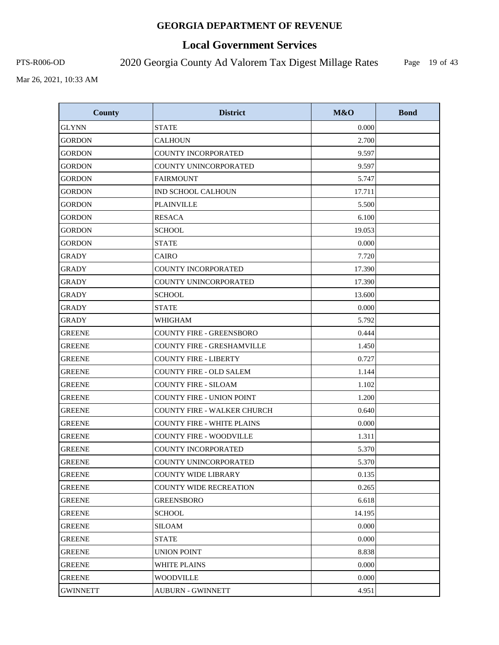# **Local Government Services**

PTS-R006-OD 2020 Georgia County Ad Valorem Tax Digest Millage Rates

Page 19 of 43

| <b>County</b>   | <b>District</b>                    | M&O    | <b>Bond</b> |
|-----------------|------------------------------------|--------|-------------|
| <b>GLYNN</b>    | <b>STATE</b>                       | 0.000  |             |
| <b>GORDON</b>   | <b>CALHOUN</b>                     | 2.700  |             |
| <b>GORDON</b>   | <b>COUNTY INCORPORATED</b>         | 9.597  |             |
| <b>GORDON</b>   | COUNTY UNINCORPORATED              | 9.597  |             |
| GORDON          | <b>FAIRMOUNT</b>                   | 5.747  |             |
| <b>GORDON</b>   | <b>IND SCHOOL CALHOUN</b>          | 17.711 |             |
| <b>GORDON</b>   | <b>PLAINVILLE</b>                  | 5.500  |             |
| GORDON          | <b>RESACA</b>                      | 6.100  |             |
| <b>GORDON</b>   | SCHOOL                             | 19.053 |             |
| <b>GORDON</b>   | <b>STATE</b>                       | 0.000  |             |
| GRADY           | <b>CAIRO</b>                       | 7.720  |             |
| <b>GRADY</b>    | COUNTY INCORPORATED                | 17.390 |             |
| <b>GRADY</b>    | <b>COUNTY UNINCORPORATED</b>       | 17.390 |             |
| <b>GRADY</b>    | <b>SCHOOL</b>                      | 13.600 |             |
| <b>GRADY</b>    | <b>STATE</b>                       | 0.000  |             |
| <b>GRADY</b>    | WHIGHAM                            | 5.792  |             |
| <b>GREENE</b>   | <b>COUNTY FIRE - GREENSBORO</b>    | 0.444  |             |
| <b>GREENE</b>   | <b>COUNTY FIRE - GRESHAMVILLE</b>  | 1.450  |             |
| <b>GREENE</b>   | <b>COUNTY FIRE - LIBERTY</b>       | 0.727  |             |
| <b>GREENE</b>   | <b>COUNTY FIRE - OLD SALEM</b>     | 1.144  |             |
| <b>GREENE</b>   | <b>COUNTY FIRE - SILOAM</b>        | 1.102  |             |
| <b>GREENE</b>   | <b>COUNTY FIRE - UNION POINT</b>   | 1.200  |             |
| <b>GREENE</b>   | <b>COUNTY FIRE - WALKER CHURCH</b> | 0.640  |             |
| <b>GREENE</b>   | <b>COUNTY FIRE - WHITE PLAINS</b>  | 0.000  |             |
| <b>GREENE</b>   | <b>COUNTY FIRE - WOODVILLE</b>     | 1.311  |             |
| <b>GREENE</b>   | <b>COUNTY INCORPORATED</b>         | 5.370  |             |
| <b>GREENE</b>   | COUNTY UNINCORPORATED              | 5.370  |             |
| <b>GREENE</b>   | <b>COUNTY WIDE LIBRARY</b>         | 0.135  |             |
| <b>GREENE</b>   | <b>COUNTY WIDE RECREATION</b>      | 0.265  |             |
| <b>GREENE</b>   | <b>GREENSBORO</b>                  | 6.618  |             |
| <b>GREENE</b>   | <b>SCHOOL</b>                      | 14.195 |             |
| <b>GREENE</b>   | SILOAM                             | 0.000  |             |
| <b>GREENE</b>   | <b>STATE</b>                       | 0.000  |             |
| <b>GREENE</b>   | <b>UNION POINT</b>                 | 8.838  |             |
| <b>GREENE</b>   | WHITE PLAINS                       | 0.000  |             |
| <b>GREENE</b>   | <b>WOODVILLE</b>                   | 0.000  |             |
| <b>GWINNETT</b> | <b>AUBURN - GWINNETT</b>           | 4.951  |             |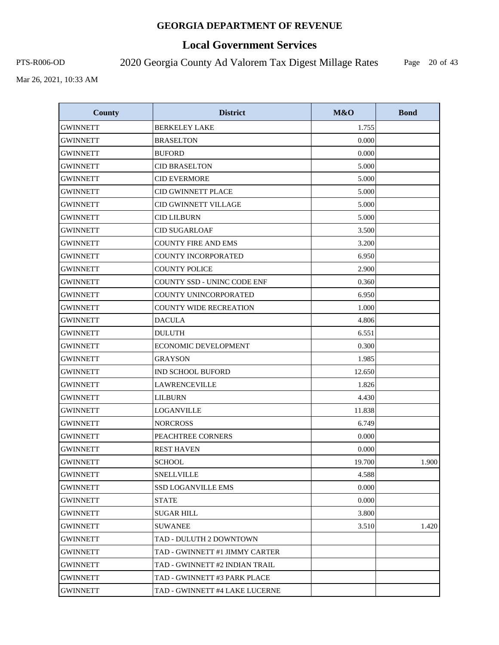# **Local Government Services**

PTS-R006-OD 2020 Georgia County Ad Valorem Tax Digest Millage Rates

Page 20 of 43

| <b>County</b>   | <b>District</b>                | M&O    | <b>Bond</b> |
|-----------------|--------------------------------|--------|-------------|
| <b>GWINNETT</b> | <b>BERKELEY LAKE</b>           | 1.755  |             |
| <b>GWINNETT</b> | <b>BRASELTON</b>               | 0.000  |             |
| <b>GWINNETT</b> | <b>BUFORD</b>                  | 0.000  |             |
| <b>GWINNETT</b> | <b>CID BRASELTON</b>           | 5.000  |             |
| <b>GWINNETT</b> | <b>CID EVERMORE</b>            | 5.000  |             |
| <b>GWINNETT</b> | <b>CID GWINNETT PLACE</b>      | 5.000  |             |
| <b>GWINNETT</b> | <b>CID GWINNETT VILLAGE</b>    | 5.000  |             |
| <b>GWINNETT</b> | <b>CID LILBURN</b>             | 5.000  |             |
| <b>GWINNETT</b> | <b>CID SUGARLOAF</b>           | 3.500  |             |
| <b>GWINNETT</b> | <b>COUNTY FIRE AND EMS</b>     | 3.200  |             |
| <b>GWINNETT</b> | <b>COUNTY INCORPORATED</b>     | 6.950  |             |
| <b>GWINNETT</b> | <b>COUNTY POLICE</b>           | 2.900  |             |
| <b>GWINNETT</b> | COUNTY SSD - UNINC CODE ENF    | 0.360  |             |
| <b>GWINNETT</b> | COUNTY UNINCORPORATED          | 6.950  |             |
| <b>GWINNETT</b> | <b>COUNTY WIDE RECREATION</b>  | 1.000  |             |
| GWINNETT        | <b>DACULA</b>                  | 4.806  |             |
| <b>GWINNETT</b> | <b>DULUTH</b>                  | 6.551  |             |
| GWINNETT        | ECONOMIC DEVELOPMENT           | 0.300  |             |
| <b>GWINNETT</b> | <b>GRAYSON</b>                 | 1.985  |             |
| <b>GWINNETT</b> | <b>IND SCHOOL BUFORD</b>       | 12.650 |             |
| <b>GWINNETT</b> | <b>LAWRENCEVILLE</b>           | 1.826  |             |
| <b>GWINNETT</b> | <b>LILBURN</b>                 | 4.430  |             |
| <b>GWINNETT</b> | LOGANVILLE                     | 11.838 |             |
| <b>GWINNETT</b> | <b>NORCROSS</b>                | 6.749  |             |
| GWINNETT        | PEACHTREE CORNERS              | 0.000  |             |
| <b>GWINNETT</b> | <b>REST HAVEN</b>              | 0.000  |             |
| <b>GWINNETT</b> | <b>SCHOOL</b>                  | 19.700 | 1.900       |
| <b>GWINNETT</b> | <b>SNELLVILLE</b>              | 4.588  |             |
| GWINNETT        | <b>SSD LOGANVILLE EMS</b>      | 0.000  |             |
| GWINNETT        | STATE                          | 0.000  |             |
| GWINNETT        | <b>SUGAR HILL</b>              | 3.800  |             |
| GWINNETT        | <b>SUWANEE</b>                 | 3.510  | 1.420       |
| GWINNETT        | TAD - DULUTH 2 DOWNTOWN        |        |             |
| GWINNETT        | TAD - GWINNETT #1 JIMMY CARTER |        |             |
| GWINNETT        | TAD - GWINNETT #2 INDIAN TRAIL |        |             |
| GWINNETT        | TAD - GWINNETT #3 PARK PLACE   |        |             |
| <b>GWINNETT</b> | TAD - GWINNETT #4 LAKE LUCERNE |        |             |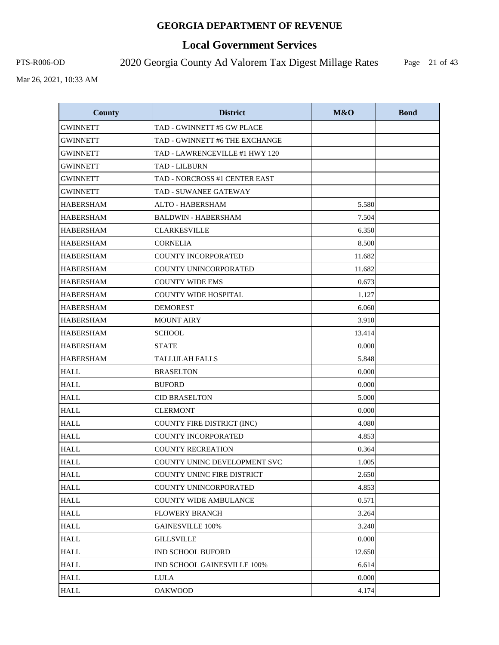# **Local Government Services**

PTS-R006-OD 2020 Georgia County Ad Valorem Tax Digest Millage Rates

Page 21 of 43

| <b>County</b>    | <b>District</b>                   | M&O    | <b>Bond</b> |
|------------------|-----------------------------------|--------|-------------|
| <b>GWINNETT</b>  | TAD - GWINNETT #5 GW PLACE        |        |             |
| <b>GWINNETT</b>  | TAD - GWINNETT #6 THE EXCHANGE    |        |             |
| GWINNETT         | TAD - LAWRENCEVILLE #1 HWY 120    |        |             |
| <b>GWINNETT</b>  | <b>TAD - LILBURN</b>              |        |             |
| GWINNETT         | TAD - NORCROSS #1 CENTER EAST     |        |             |
| <b>GWINNETT</b>  | TAD - SUWANEE GATEWAY             |        |             |
| <b>HABERSHAM</b> | ALTO - HABERSHAM                  | 5.580  |             |
| <b>HABERSHAM</b> | <b>BALDWIN - HABERSHAM</b>        | 7.504  |             |
| <b>HABERSHAM</b> | <b>CLARKESVILLE</b>               | 6.350  |             |
| <b>HABERSHAM</b> | <b>CORNELIA</b>                   | 8.500  |             |
| <b>HABERSHAM</b> | <b>COUNTY INCORPORATED</b>        | 11.682 |             |
| <b>HABERSHAM</b> | COUNTY UNINCORPORATED             | 11.682 |             |
| <b>HABERSHAM</b> | <b>COUNTY WIDE EMS</b>            | 0.673  |             |
| <b>HABERSHAM</b> | <b>COUNTY WIDE HOSPITAL</b>       | 1.127  |             |
| <b>HABERSHAM</b> | <b>DEMOREST</b>                   | 6.060  |             |
| <b>HABERSHAM</b> | <b>MOUNT AIRY</b>                 | 3.910  |             |
| <b>HABERSHAM</b> | <b>SCHOOL</b>                     | 13.414 |             |
| <b>HABERSHAM</b> | <b>STATE</b>                      | 0.000  |             |
| <b>HABERSHAM</b> | <b>TALLULAH FALLS</b>             | 5.848  |             |
| <b>HALL</b>      | <b>BRASELTON</b>                  | 0.000  |             |
| <b>HALL</b>      | <b>BUFORD</b>                     | 0.000  |             |
| <b>HALL</b>      | <b>CID BRASELTON</b>              | 5.000  |             |
| <b>HALL</b>      | <b>CLERMONT</b>                   | 0.000  |             |
| <b>HALL</b>      | COUNTY FIRE DISTRICT (INC)        | 4.080  |             |
| <b>HALL</b>      | <b>COUNTY INCORPORATED</b>        | 4.853  |             |
| <b>HALL</b>      | <b>COUNTY RECREATION</b>          | 0.364  |             |
| <b>HALL</b>      | COUNTY UNINC DEVELOPMENT SVC      | 1.005  |             |
| <b>HALL</b>      | <b>COUNTY UNINC FIRE DISTRICT</b> | 2.650  |             |
| <b>HALL</b>      | COUNTY UNINCORPORATED             | 4.853  |             |
| <b>HALL</b>      | COUNTY WIDE AMBULANCE             | 0.571  |             |
| <b>HALL</b>      | <b>FLOWERY BRANCH</b>             | 3.264  |             |
| <b>HALL</b>      | <b>GAINESVILLE 100%</b>           | 3.240  |             |
| <b>HALL</b>      | <b>GILLSVILLE</b>                 | 0.000  |             |
| <b>HALL</b>      | <b>IND SCHOOL BUFORD</b>          | 12.650 |             |
| <b>HALL</b>      | IND SCHOOL GAINESVILLE 100%       | 6.614  |             |
| <b>HALL</b>      | <b>LULA</b>                       | 0.000  |             |
| <b>HALL</b>      | <b>OAKWOOD</b>                    | 4.174  |             |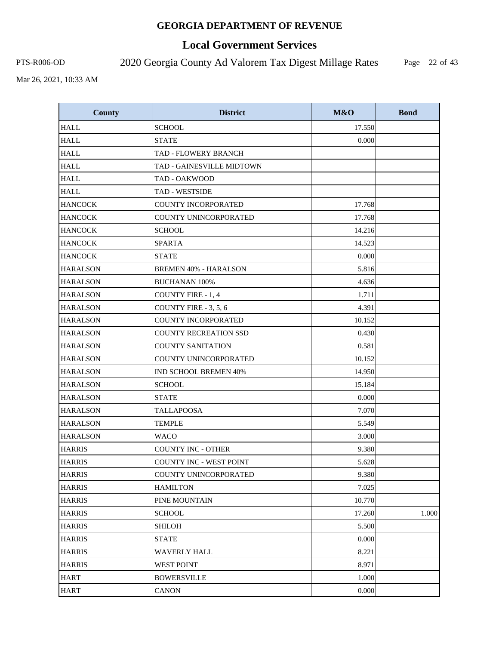# **Local Government Services**

PTS-R006-OD 2020 Georgia County Ad Valorem Tax Digest Millage Rates

Page 22 of 43

| <b>County</b>   | <b>District</b>              | M&O    | <b>Bond</b> |
|-----------------|------------------------------|--------|-------------|
| <b>HALL</b>     | <b>SCHOOL</b>                | 17.550 |             |
| <b>HALL</b>     | <b>STATE</b>                 | 0.000  |             |
| <b>HALL</b>     | TAD - FLOWERY BRANCH         |        |             |
| <b>HALL</b>     | TAD - GAINESVILLE MIDTOWN    |        |             |
| <b>HALL</b>     | TAD - OAKWOOD                |        |             |
| <b>HALL</b>     | <b>TAD - WESTSIDE</b>        |        |             |
| <b>HANCOCK</b>  | COUNTY INCORPORATED          | 17.768 |             |
| <b>HANCOCK</b>  | COUNTY UNINCORPORATED        | 17.768 |             |
| <b>HANCOCK</b>  | <b>SCHOOL</b>                | 14.216 |             |
| <b>HANCOCK</b>  | <b>SPARTA</b>                | 14.523 |             |
| <b>HANCOCK</b>  | <b>STATE</b>                 | 0.000  |             |
| <b>HARALSON</b> | <b>BREMEN 40% - HARALSON</b> | 5.816  |             |
| HARALSON        | <b>BUCHANAN 100%</b>         | 4.636  |             |
| <b>HARALSON</b> | <b>COUNTY FIRE - 1, 4</b>    | 1.711  |             |
| <b>HARALSON</b> | COUNTY FIRE - 3, 5, 6        | 4.391  |             |
| <b>HARALSON</b> | <b>COUNTY INCORPORATED</b>   | 10.152 |             |
| <b>HARALSON</b> | <b>COUNTY RECREATION SSD</b> | 0.430  |             |
| <b>HARALSON</b> | <b>COUNTY SANITATION</b>     | 0.581  |             |
| <b>HARALSON</b> | COUNTY UNINCORPORATED        | 10.152 |             |
| <b>HARALSON</b> | IND SCHOOL BREMEN 40%        | 14.950 |             |
| <b>HARALSON</b> | <b>SCHOOL</b>                | 15.184 |             |
| <b>HARALSON</b> | <b>STATE</b>                 | 0.000  |             |
| <b>HARALSON</b> | <b>TALLAPOOSA</b>            | 7.070  |             |
| <b>HARALSON</b> | <b>TEMPLE</b>                | 5.549  |             |
| <b>HARALSON</b> | WACO                         | 3.000  |             |
| <b>HARRIS</b>   | <b>COUNTY INC - OTHER</b>    | 9.380  |             |
| <b>HARRIS</b>   | COUNTY INC - WEST POINT      | 5.628  |             |
| <b>HARRIS</b>   | COUNTY UNINCORPORATED        | 9.380  |             |
| <b>HARRIS</b>   | <b>HAMILTON</b>              | 7.025  |             |
| <b>HARRIS</b>   | PINE MOUNTAIN                | 10.770 |             |
| <b>HARRIS</b>   | <b>SCHOOL</b>                | 17.260 | 1.000       |
| <b>HARRIS</b>   | SHILOH                       | 5.500  |             |
| <b>HARRIS</b>   | <b>STATE</b>                 | 0.000  |             |
| <b>HARRIS</b>   | <b>WAVERLY HALL</b>          | 8.221  |             |
| HARRIS          | <b>WEST POINT</b>            | 8.971  |             |
| HART            | <b>BOWERSVILLE</b>           | 1.000  |             |
| <b>HART</b>     | <b>CANON</b>                 | 0.000  |             |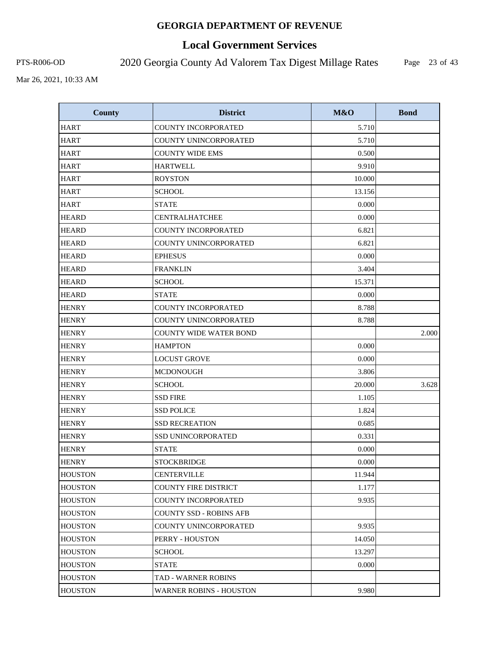# **Local Government Services**

PTS-R006-OD 2020 Georgia County Ad Valorem Tax Digest Millage Rates

Page 23 of 43

| <b>County</b>  | <b>District</b>                | M&O    | <b>Bond</b> |
|----------------|--------------------------------|--------|-------------|
| <b>HART</b>    | COUNTY INCORPORATED            | 5.710  |             |
| <b>HART</b>    | COUNTY UNINCORPORATED          | 5.710  |             |
| <b>HART</b>    | <b>COUNTY WIDE EMS</b>         | 0.500  |             |
| <b>HART</b>    | <b>HARTWELL</b>                | 9.910  |             |
| <b>HART</b>    | <b>ROYSTON</b>                 | 10.000 |             |
| <b>HART</b>    | <b>SCHOOL</b>                  | 13.156 |             |
| <b>HART</b>    | <b>STATE</b>                   | 0.000  |             |
| <b>HEARD</b>   | <b>CENTRALHATCHEE</b>          | 0.000  |             |
| <b>HEARD</b>   | <b>COUNTY INCORPORATED</b>     | 6.821  |             |
| <b>HEARD</b>   | COUNTY UNINCORPORATED          | 6.821  |             |
| <b>HEARD</b>   | <b>EPHESUS</b>                 | 0.000  |             |
| <b>HEARD</b>   | <b>FRANKLIN</b>                | 3.404  |             |
| <b>HEARD</b>   | <b>SCHOOL</b>                  | 15.371 |             |
| <b>HEARD</b>   | <b>STATE</b>                   | 0.000  |             |
| <b>HENRY</b>   | COUNTY INCORPORATED            | 8.788  |             |
| <b>HENRY</b>   | COUNTY UNINCORPORATED          | 8.788  |             |
| <b>HENRY</b>   | <b>COUNTY WIDE WATER BOND</b>  |        | 2.000       |
| <b>HENRY</b>   | <b>HAMPTON</b>                 | 0.000  |             |
| <b>HENRY</b>   | <b>LOCUST GROVE</b>            | 0.000  |             |
| <b>HENRY</b>   | <b>MCDONOUGH</b>               | 3.806  |             |
| <b>HENRY</b>   | <b>SCHOOL</b>                  | 20.000 | 3.628       |
| <b>HENRY</b>   | <b>SSD FIRE</b>                | 1.105  |             |
| <b>HENRY</b>   | <b>SSD POLICE</b>              | 1.824  |             |
| <b>HENRY</b>   | <b>SSD RECREATION</b>          | 0.685  |             |
| <b>HENRY</b>   | <b>SSD UNINCORPORATED</b>      | 0.331  |             |
| <b>HENRY</b>   | <b>STATE</b>                   | 0.000  |             |
| <b>HENRY</b>   | <b>STOCKBRIDGE</b>             | 0.000  |             |
| <b>HOUSTON</b> | <b>CENTERVILLE</b>             | 11.944 |             |
| <b>HOUSTON</b> | <b>COUNTY FIRE DISTRICT</b>    | 1.177  |             |
| <b>HOUSTON</b> | <b>COUNTY INCORPORATED</b>     | 9.935  |             |
| <b>HOUSTON</b> | <b>COUNTY SSD - ROBINS AFB</b> |        |             |
| <b>HOUSTON</b> | <b>COUNTY UNINCORPORATED</b>   | 9.935  |             |
| <b>HOUSTON</b> | PERRY - HOUSTON                | 14.050 |             |
| <b>HOUSTON</b> | <b>SCHOOL</b>                  | 13.297 |             |
| <b>HOUSTON</b> | <b>STATE</b>                   | 0.000  |             |
| <b>HOUSTON</b> | <b>TAD - WARNER ROBINS</b>     |        |             |
| <b>HOUSTON</b> | <b>WARNER ROBINS - HOUSTON</b> | 9.980  |             |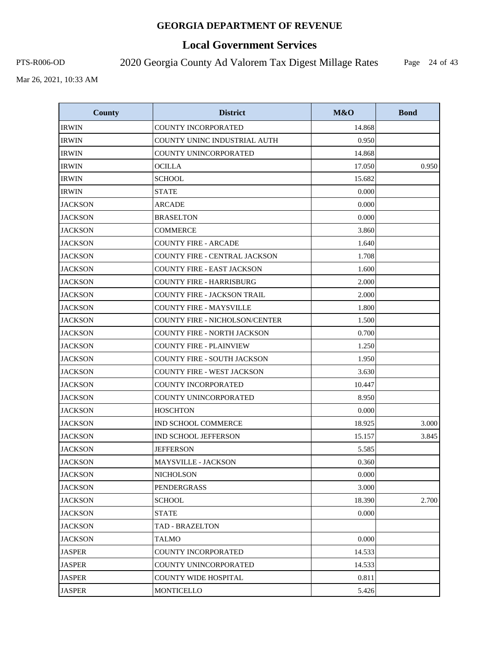# **Local Government Services**

PTS-R006-OD 2020 Georgia County Ad Valorem Tax Digest Millage Rates

Page 24 of 43

| <b>County</b>  | <b>District</b>                       | M&O    | <b>Bond</b> |
|----------------|---------------------------------------|--------|-------------|
| <b>IRWIN</b>   | <b>COUNTY INCORPORATED</b>            | 14.868 |             |
| <b>IRWIN</b>   | COUNTY UNINC INDUSTRIAL AUTH          | 0.950  |             |
| <b>IRWIN</b>   | COUNTY UNINCORPORATED                 | 14.868 |             |
| <b>IRWIN</b>   | <b>OCILLA</b>                         | 17.050 | 0.950       |
| <b>IRWIN</b>   | <b>SCHOOL</b>                         | 15.682 |             |
| <b>IRWIN</b>   | <b>STATE</b>                          | 0.000  |             |
| <b>JACKSON</b> | <b>ARCADE</b>                         | 0.000  |             |
| <b>JACKSON</b> | <b>BRASELTON</b>                      | 0.000  |             |
| <b>JACKSON</b> | <b>COMMERCE</b>                       | 3.860  |             |
| <b>JACKSON</b> | <b>COUNTY FIRE - ARCADE</b>           | 1.640  |             |
| <b>JACKSON</b> | <b>COUNTY FIRE - CENTRAL JACKSON</b>  | 1.708  |             |
| <b>JACKSON</b> | <b>COUNTY FIRE - EAST JACKSON</b>     | 1.600  |             |
| <b>JACKSON</b> | <b>COUNTY FIRE - HARRISBURG</b>       | 2.000  |             |
| <b>JACKSON</b> | <b>COUNTY FIRE - JACKSON TRAIL</b>    | 2.000  |             |
| <b>JACKSON</b> | <b>COUNTY FIRE - MAYSVILLE</b>        | 1.800  |             |
| <b>JACKSON</b> | <b>COUNTY FIRE - NICHOLSON/CENTER</b> | 1.500  |             |
| <b>JACKSON</b> | <b>COUNTY FIRE - NORTH JACKSON</b>    | 0.700  |             |
| <b>JACKSON</b> | <b>COUNTY FIRE - PLAINVIEW</b>        | 1.250  |             |
| <b>JACKSON</b> | <b>COUNTY FIRE - SOUTH JACKSON</b>    | 1.950  |             |
| <b>JACKSON</b> | <b>COUNTY FIRE - WEST JACKSON</b>     | 3.630  |             |
| <b>JACKSON</b> | <b>COUNTY INCORPORATED</b>            | 10.447 |             |
| <b>JACKSON</b> | COUNTY UNINCORPORATED                 | 8.950  |             |
| <b>JACKSON</b> | <b>HOSCHTON</b>                       | 0.000  |             |
| <b>JACKSON</b> | IND SCHOOL COMMERCE                   | 18.925 | 3.000       |
| <b>JACKSON</b> | <b>IND SCHOOL JEFFERSON</b>           | 15.157 | 3.845       |
| <b>JACKSON</b> | <b>JEFFERSON</b>                      | 5.585  |             |
| <b>JACKSON</b> | <b>MAYSVILLE - JACKSON</b>            | 0.360  |             |
| <b>JACKSON</b> | NICHOLSON                             | 0.000  |             |
| <b>JACKSON</b> | PENDERGRASS                           | 3.000  |             |
| <b>JACKSON</b> | <b>SCHOOL</b>                         | 18.390 | 2.700       |
| <b>JACKSON</b> | <b>STATE</b>                          | 0.000  |             |
| <b>JACKSON</b> | <b>TAD - BRAZELTON</b>                |        |             |
| <b>JACKSON</b> | <b>TALMO</b>                          | 0.000  |             |
| <b>JASPER</b>  | <b>COUNTY INCORPORATED</b>            | 14.533 |             |
| <b>JASPER</b>  | <b>COUNTY UNINCORPORATED</b>          | 14.533 |             |
| <b>JASPER</b>  | <b>COUNTY WIDE HOSPITAL</b>           | 0.811  |             |
| <b>JASPER</b>  | MONTICELLO                            | 5.426  |             |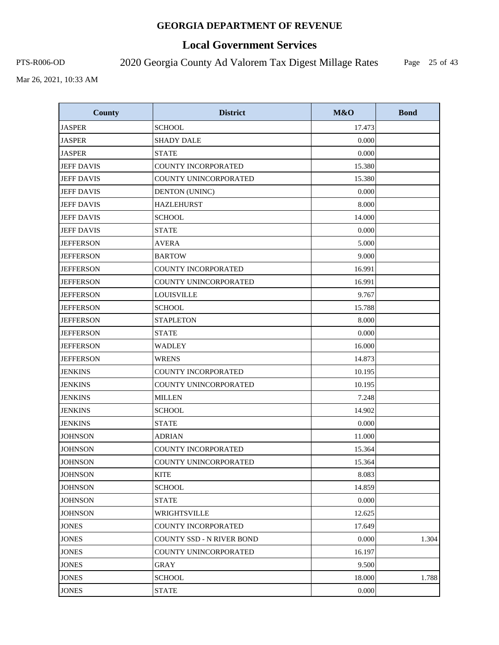# **Local Government Services**

PTS-R006-OD 2020 Georgia County Ad Valorem Tax Digest Millage Rates

Page 25 of 43

| <b>County</b>     | <b>District</b>                  | M&O    | <b>Bond</b> |
|-------------------|----------------------------------|--------|-------------|
| <b>JASPER</b>     | <b>SCHOOL</b>                    | 17.473 |             |
| <b>JASPER</b>     | <b>SHADY DALE</b>                | 0.000  |             |
| <b>JASPER</b>     | <b>STATE</b>                     | 0.000  |             |
| <b>JEFF DAVIS</b> | <b>COUNTY INCORPORATED</b>       | 15.380 |             |
| <b>JEFF DAVIS</b> | COUNTY UNINCORPORATED            | 15.380 |             |
| <b>JEFF DAVIS</b> | <b>DENTON (UNINC)</b>            | 0.000  |             |
| <b>JEFF DAVIS</b> | <b>HAZLEHURST</b>                | 8.000  |             |
| <b>JEFF DAVIS</b> | <b>SCHOOL</b>                    | 14.000 |             |
| <b>JEFF DAVIS</b> | <b>STATE</b>                     | 0.000  |             |
| <b>JEFFERSON</b>  | <b>AVERA</b>                     | 5.000  |             |
| <b>JEFFERSON</b>  | <b>BARTOW</b>                    | 9.000  |             |
| <b>JEFFERSON</b>  | <b>COUNTY INCORPORATED</b>       | 16.991 |             |
| <b>JEFFERSON</b>  | COUNTY UNINCORPORATED            | 16.991 |             |
| <b>JEFFERSON</b>  | <b>LOUISVILLE</b>                | 9.767  |             |
| <b>JEFFERSON</b>  | <b>SCHOOL</b>                    | 15.788 |             |
| <b>JEFFERSON</b>  | <b>STAPLETON</b>                 | 8.000  |             |
| <b>JEFFERSON</b>  | <b>STATE</b>                     | 0.000  |             |
| <b>JEFFERSON</b>  | <b>WADLEY</b>                    | 16.000 |             |
| <b>JEFFERSON</b>  | <b>WRENS</b>                     | 14.873 |             |
| <b>JENKINS</b>    | COUNTY INCORPORATED              | 10.195 |             |
| <b>JENKINS</b>    | COUNTY UNINCORPORATED            | 10.195 |             |
| <b>JENKINS</b>    | <b>MILLEN</b>                    | 7.248  |             |
| <b>JENKINS</b>    | <b>SCHOOL</b>                    | 14.902 |             |
| <b>JENKINS</b>    | <b>STATE</b>                     | 0.000  |             |
| <b>JOHNSON</b>    | <b>ADRIAN</b>                    | 11.000 |             |
| <b>JOHNSON</b>    | <b>COUNTY INCORPORATED</b>       | 15.364 |             |
| <b>JOHNSON</b>    | COUNTY UNINCORPORATED            | 15.364 |             |
| <b>JOHNSON</b>    | <b>KITE</b>                      | 8.083  |             |
| <b>JOHNSON</b>    | <b>SCHOOL</b>                    | 14.859 |             |
| <b>JOHNSON</b>    | STATE                            | 0.000  |             |
| <b>JOHNSON</b>    | WRIGHTSVILLE                     | 12.625 |             |
| <b>JONES</b>      | <b>COUNTY INCORPORATED</b>       | 17.649 |             |
| <b>JONES</b>      | <b>COUNTY SSD - N RIVER BOND</b> | 0.000  | 1.304       |
| <b>JONES</b>      | COUNTY UNINCORPORATED            | 16.197 |             |
| <b>JONES</b>      | GRAY                             | 9.500  |             |
| <b>JONES</b>      | <b>SCHOOL</b>                    | 18.000 | 1.788       |
| <b>JONES</b>      | <b>STATE</b>                     | 0.000  |             |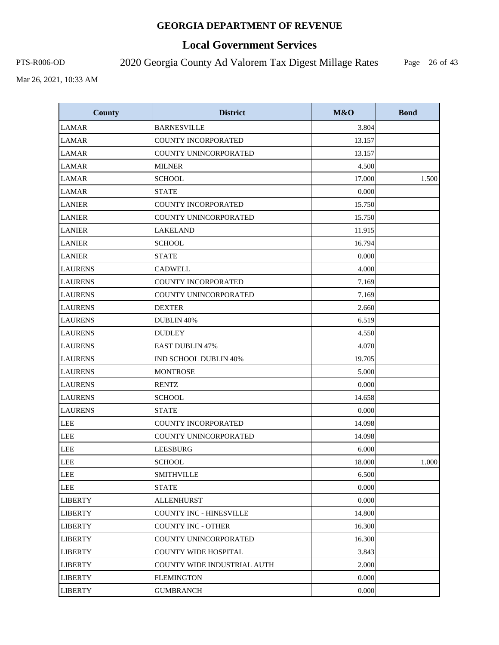# **Local Government Services**

PTS-R006-OD 2020 Georgia County Ad Valorem Tax Digest Millage Rates

Page 26 of 43

| <b>County</b>  | <b>District</b>                | M&O    | <b>Bond</b> |
|----------------|--------------------------------|--------|-------------|
| <b>LAMAR</b>   | <b>BARNESVILLE</b>             | 3.804  |             |
| <b>LAMAR</b>   | COUNTY INCORPORATED            | 13.157 |             |
| <b>LAMAR</b>   | COUNTY UNINCORPORATED          | 13.157 |             |
| <b>LAMAR</b>   | <b>MILNER</b>                  | 4.500  |             |
| <b>LAMAR</b>   | <b>SCHOOL</b>                  | 17.000 | 1.500       |
| <b>LAMAR</b>   | <b>STATE</b>                   | 0.000  |             |
| <b>LANIER</b>  | COUNTY INCORPORATED            | 15.750 |             |
| <b>LANIER</b>  | COUNTY UNINCORPORATED          | 15.750 |             |
| <b>LANIER</b>  | <b>LAKELAND</b>                | 11.915 |             |
| <b>LANIER</b>  | <b>SCHOOL</b>                  | 16.794 |             |
| <b>LANIER</b>  | <b>STATE</b>                   | 0.000  |             |
| <b>LAURENS</b> | <b>CADWELL</b>                 | 4.000  |             |
| <b>LAURENS</b> | <b>COUNTY INCORPORATED</b>     | 7.169  |             |
| <b>LAURENS</b> | COUNTY UNINCORPORATED          | 7.169  |             |
| <b>LAURENS</b> | <b>DEXTER</b>                  | 2.660  |             |
| <b>LAURENS</b> | DUBLIN 40%                     | 6.519  |             |
| <b>LAURENS</b> | <b>DUDLEY</b>                  | 4.550  |             |
| <b>LAURENS</b> | <b>EAST DUBLIN 47%</b>         | 4.070  |             |
| <b>LAURENS</b> | <b>IND SCHOOL DUBLIN 40%</b>   | 19.705 |             |
| <b>LAURENS</b> | <b>MONTROSE</b>                | 5.000  |             |
| <b>LAURENS</b> | <b>RENTZ</b>                   | 0.000  |             |
| <b>LAURENS</b> | <b>SCHOOL</b>                  | 14.658 |             |
| <b>LAURENS</b> | <b>STATE</b>                   | 0.000  |             |
| <b>LEE</b>     | COUNTY INCORPORATED            | 14.098 |             |
| <b>LEE</b>     | COUNTY UNINCORPORATED          | 14.098 |             |
| <b>LEE</b>     | <b>LEESBURG</b>                | 6.000  |             |
| LEE            | <b>SCHOOL</b>                  | 18.000 | 1.000       |
| LEE            | <b>SMITHVILLE</b>              | 6.500  |             |
| LEE            | <b>STATE</b>                   | 0.000  |             |
| <b>LIBERTY</b> | <b>ALLENHURST</b>              | 0.000  |             |
| <b>LIBERTY</b> | <b>COUNTY INC - HINESVILLE</b> | 14.800 |             |
| <b>LIBERTY</b> | <b>COUNTY INC - OTHER</b>      | 16.300 |             |
| <b>LIBERTY</b> | COUNTY UNINCORPORATED          | 16.300 |             |
| <b>LIBERTY</b> | <b>COUNTY WIDE HOSPITAL</b>    | 3.843  |             |
| <b>LIBERTY</b> | COUNTY WIDE INDUSTRIAL AUTH    | 2.000  |             |
| <b>LIBERTY</b> | <b>FLEMINGTON</b>              | 0.000  |             |
| <b>LIBERTY</b> | <b>GUMBRANCH</b>               | 0.000  |             |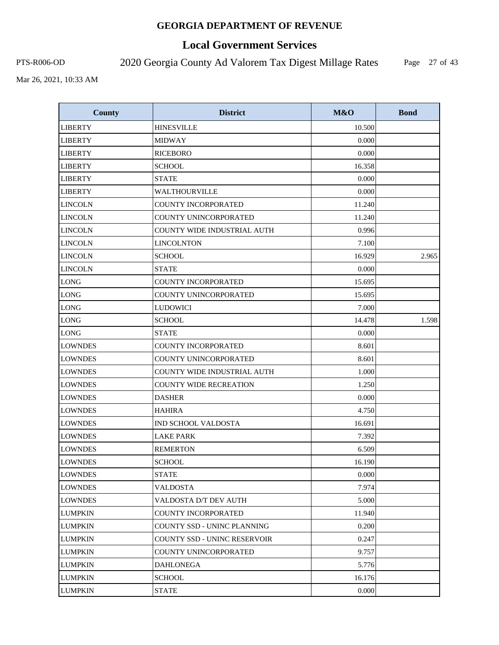# **Local Government Services**

PTS-R006-OD 2020 Georgia County Ad Valorem Tax Digest Millage Rates

Page 27 of 43

| <b>County</b>  | <b>District</b>                     | M&O    | <b>Bond</b> |
|----------------|-------------------------------------|--------|-------------|
| <b>LIBERTY</b> | <b>HINESVILLE</b>                   | 10.500 |             |
| <b>LIBERTY</b> | <b>MIDWAY</b>                       | 0.000  |             |
| <b>LIBERTY</b> | <b>RICEBORO</b>                     | 0.000  |             |
| <b>LIBERTY</b> | <b>SCHOOL</b>                       | 16.358 |             |
| <b>LIBERTY</b> | <b>STATE</b>                        | 0.000  |             |
| <b>LIBERTY</b> | <b>WALTHOURVILLE</b>                | 0.000  |             |
| <b>LINCOLN</b> | <b>COUNTY INCORPORATED</b>          | 11.240 |             |
| <b>LINCOLN</b> | <b>COUNTY UNINCORPORATED</b>        | 11.240 |             |
| <b>LINCOLN</b> | COUNTY WIDE INDUSTRIAL AUTH         | 0.996  |             |
| <b>LINCOLN</b> | <b>LINCOLNTON</b>                   | 7.100  |             |
| <b>LINCOLN</b> | <b>SCHOOL</b>                       | 16.929 | 2.965       |
| <b>LINCOLN</b> | <b>STATE</b>                        | 0.000  |             |
| <b>LONG</b>    | <b>COUNTY INCORPORATED</b>          | 15.695 |             |
| <b>LONG</b>    | COUNTY UNINCORPORATED               | 15.695 |             |
| <b>LONG</b>    | <b>LUDOWICI</b>                     | 7.000  |             |
| <b>LONG</b>    | <b>SCHOOL</b>                       | 14.478 | 1.598       |
| <b>LONG</b>    | <b>STATE</b>                        | 0.000  |             |
| <b>LOWNDES</b> | <b>COUNTY INCORPORATED</b>          | 8.601  |             |
| <b>LOWNDES</b> | COUNTY UNINCORPORATED               | 8.601  |             |
| <b>LOWNDES</b> | COUNTY WIDE INDUSTRIAL AUTH         | 1.000  |             |
| <b>LOWNDES</b> | <b>COUNTY WIDE RECREATION</b>       | 1.250  |             |
| <b>LOWNDES</b> | <b>DASHER</b>                       | 0.000  |             |
| <b>LOWNDES</b> | <b>HAHIRA</b>                       | 4.750  |             |
| <b>LOWNDES</b> | <b>IND SCHOOL VALDOSTA</b>          | 16.691 |             |
| <b>LOWNDES</b> | <b>LAKE PARK</b>                    | 7.392  |             |
| <b>LOWNDES</b> | <b>REMERTON</b>                     | 6.509  |             |
| <b>LOWNDES</b> | <b>SCHOOL</b>                       | 16.190 |             |
| <b>LOWNDES</b> | <b>STATE</b>                        | 0.000  |             |
| <b>LOWNDES</b> | <b>VALDOSTA</b>                     | 7.974  |             |
| LOWNDES        | VALDOSTA D/T DEV AUTH               | 5.000  |             |
| <b>LUMPKIN</b> | <b>COUNTY INCORPORATED</b>          | 11.940 |             |
| <b>LUMPKIN</b> | COUNTY SSD - UNINC PLANNING         | 0.200  |             |
| <b>LUMPKIN</b> | <b>COUNTY SSD - UNINC RESERVOIR</b> | 0.247  |             |
| LUMPKIN        | COUNTY UNINCORPORATED               | 9.757  |             |
| LUMPKIN        | DAHLONEGA                           | 5.776  |             |
| <b>LUMPKIN</b> | <b>SCHOOL</b>                       | 16.176 |             |
| <b>LUMPKIN</b> | <b>STATE</b>                        | 0.000  |             |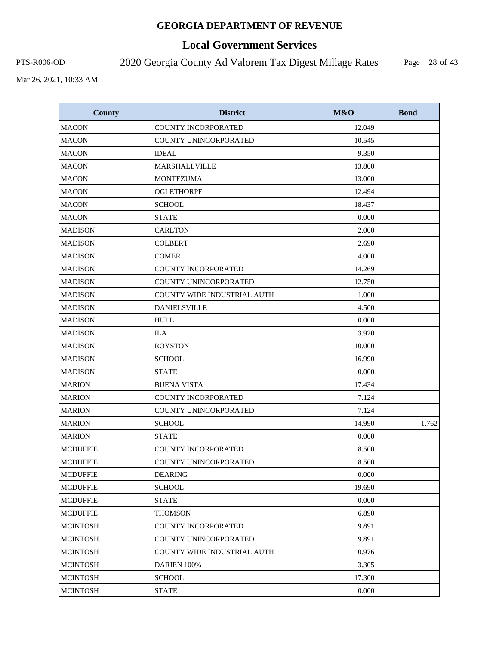# **Local Government Services**

PTS-R006-OD 2020 Georgia County Ad Valorem Tax Digest Millage Rates

Page 28 of 43

| <b>County</b>   | <b>District</b>                    | M&O    | <b>Bond</b> |
|-----------------|------------------------------------|--------|-------------|
| <b>MACON</b>    | <b>COUNTY INCORPORATED</b>         | 12.049 |             |
| <b>MACON</b>    | COUNTY UNINCORPORATED              | 10.545 |             |
| <b>MACON</b>    | <b>IDEAL</b>                       | 9.350  |             |
| <b>MACON</b>    | MARSHALLVILLE                      | 13.800 |             |
| <b>MACON</b>    | <b>MONTEZUMA</b>                   | 13.000 |             |
| <b>MACON</b>    | <b>OGLETHORPE</b>                  | 12.494 |             |
| <b>MACON</b>    | <b>SCHOOL</b>                      | 18.437 |             |
| <b>MACON</b>    | <b>STATE</b>                       | 0.000  |             |
| <b>MADISON</b>  | <b>CARLTON</b>                     | 2.000  |             |
| <b>MADISON</b>  | <b>COLBERT</b>                     | 2.690  |             |
| <b>MADISON</b>  | <b>COMER</b>                       | 4.000  |             |
| <b>MADISON</b>  | COUNTY INCORPORATED                | 14.269 |             |
| <b>MADISON</b>  | COUNTY UNINCORPORATED              | 12.750 |             |
| <b>MADISON</b>  | <b>COUNTY WIDE INDUSTRIAL AUTH</b> | 1.000  |             |
| <b>MADISON</b>  | <b>DANIELSVILLE</b>                | 4.500  |             |
| <b>MADISON</b>  | <b>HULL</b>                        | 0.000  |             |
| <b>MADISON</b>  | <b>ILA</b>                         | 3.920  |             |
| <b>MADISON</b>  | <b>ROYSTON</b>                     | 10.000 |             |
| <b>MADISON</b>  | <b>SCHOOL</b>                      | 16.990 |             |
| <b>MADISON</b>  | <b>STATE</b>                       | 0.000  |             |
| <b>MARION</b>   | <b>BUENA VISTA</b>                 | 17.434 |             |
| <b>MARION</b>   | <b>COUNTY INCORPORATED</b>         | 7.124  |             |
| <b>MARION</b>   | COUNTY UNINCORPORATED              | 7.124  |             |
| <b>MARION</b>   | <b>SCHOOL</b>                      | 14.990 | 1.762       |
| <b>MARION</b>   | <b>STATE</b>                       | 0.000  |             |
| <b>MCDUFFIE</b> | <b>COUNTY INCORPORATED</b>         | 8.500  |             |
| <b>MCDUFFIE</b> | COUNTY UNINCORPORATED              | 8.500  |             |
| <b>MCDUFFIE</b> | <b>DEARING</b>                     | 0.000  |             |
| <b>MCDUFFIE</b> | <b>SCHOOL</b>                      | 19.690 |             |
| <b>MCDUFFIE</b> | <b>STATE</b>                       | 0.000  |             |
| <b>MCDUFFIE</b> | <b>THOMSON</b>                     | 6.890  |             |
| <b>MCINTOSH</b> | <b>COUNTY INCORPORATED</b>         | 9.891  |             |
| <b>MCINTOSH</b> | COUNTY UNINCORPORATED              | 9.891  |             |
| <b>MCINTOSH</b> | COUNTY WIDE INDUSTRIAL AUTH        | 0.976  |             |
| <b>MCINTOSH</b> | DARIEN 100%                        | 3.305  |             |
| <b>MCINTOSH</b> | <b>SCHOOL</b>                      | 17.300 |             |
| <b>MCINTOSH</b> | <b>STATE</b>                       | 0.000  |             |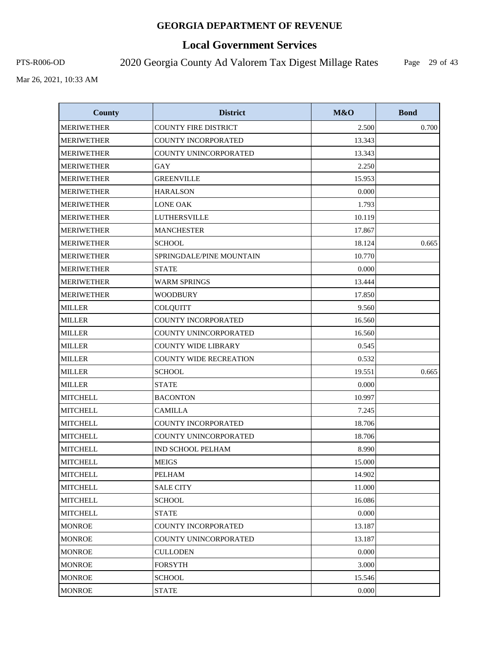# **Local Government Services**

PTS-R006-OD 2020 Georgia County Ad Valorem Tax Digest Millage Rates

Page 29 of 43

| <b>County</b>     | <b>District</b>               | M&O    | <b>Bond</b> |
|-------------------|-------------------------------|--------|-------------|
| <b>MERIWETHER</b> | <b>COUNTY FIRE DISTRICT</b>   | 2.500  | 0.700       |
| <b>MERIWETHER</b> | COUNTY INCORPORATED           | 13.343 |             |
| <b>MERIWETHER</b> | COUNTY UNINCORPORATED         | 13.343 |             |
| <b>MERIWETHER</b> | <b>GAY</b>                    | 2.250  |             |
| <b>MERIWETHER</b> | <b>GREENVILLE</b>             | 15.953 |             |
| <b>MERIWETHER</b> | <b>HARALSON</b>               | 0.000  |             |
| <b>MERIWETHER</b> | <b>LONE OAK</b>               | 1.793  |             |
| <b>MERIWETHER</b> | LUTHERSVILLE                  | 10.119 |             |
| <b>MERIWETHER</b> | <b>MANCHESTER</b>             | 17.867 |             |
| <b>MERIWETHER</b> | <b>SCHOOL</b>                 | 18.124 | 0.665       |
| <b>MERIWETHER</b> | SPRINGDALE/PINE MOUNTAIN      | 10.770 |             |
| <b>MERIWETHER</b> | <b>STATE</b>                  | 0.000  |             |
| <b>MERIWETHER</b> | <b>WARM SPRINGS</b>           | 13.444 |             |
| <b>MERIWETHER</b> | <b>WOODBURY</b>               | 17.850 |             |
| <b>MILLER</b>     | <b>COLQUITT</b>               | 9.560  |             |
| <b>MILLER</b>     | COUNTY INCORPORATED           | 16.560 |             |
| <b>MILLER</b>     | COUNTY UNINCORPORATED         | 16.560 |             |
| <b>MILLER</b>     | <b>COUNTY WIDE LIBRARY</b>    | 0.545  |             |
| <b>MILLER</b>     | <b>COUNTY WIDE RECREATION</b> | 0.532  |             |
| <b>MILLER</b>     | <b>SCHOOL</b>                 | 19.551 | 0.665       |
| <b>MILLER</b>     | <b>STATE</b>                  | 0.000  |             |
| <b>MITCHELL</b>   | <b>BACONTON</b>               | 10.997 |             |
| <b>MITCHELL</b>   | <b>CAMILLA</b>                | 7.245  |             |
| <b>MITCHELL</b>   | COUNTY INCORPORATED           | 18.706 |             |
| <b>MITCHELL</b>   | COUNTY UNINCORPORATED         | 18.706 |             |
| <b>MITCHELL</b>   | IND SCHOOL PELHAM             | 8.990  |             |
| <b>MITCHELL</b>   | <b>MEIGS</b>                  | 15.000 |             |
| <b>MITCHELL</b>   | <b>PELHAM</b>                 | 14.902 |             |
| <b>MITCHELL</b>   | <b>SALE CITY</b>              | 11.000 |             |
| <b>MITCHELL</b>   | <b>SCHOOL</b>                 | 16.086 |             |
| <b>MITCHELL</b>   | <b>STATE</b>                  | 0.000  |             |
| <b>MONROE</b>     | <b>COUNTY INCORPORATED</b>    | 13.187 |             |
| <b>MONROE</b>     | COUNTY UNINCORPORATED         | 13.187 |             |
| <b>MONROE</b>     | <b>CULLODEN</b>               | 0.000  |             |
| <b>MONROE</b>     | FORSYTH                       | 3.000  |             |
| <b>MONROE</b>     | <b>SCHOOL</b>                 | 15.546 |             |
| <b>MONROE</b>     | <b>STATE</b>                  | 0.000  |             |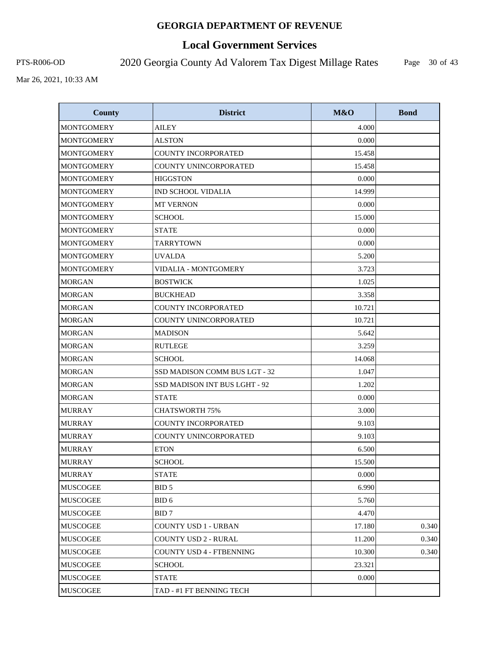# **Local Government Services**

PTS-R006-OD 2020 Georgia County Ad Valorem Tax Digest Millage Rates

Page 30 of 43

| <b>County</b>     | <b>District</b>               | M&O    | <b>Bond</b> |
|-------------------|-------------------------------|--------|-------------|
| <b>MONTGOMERY</b> | AILEY                         | 4.000  |             |
| <b>MONTGOMERY</b> | <b>ALSTON</b>                 | 0.000  |             |
| <b>MONTGOMERY</b> | <b>COUNTY INCORPORATED</b>    | 15.458 |             |
| <b>MONTGOMERY</b> | COUNTY UNINCORPORATED         | 15.458 |             |
| <b>MONTGOMERY</b> | <b>HIGGSTON</b>               | 0.000  |             |
| <b>MONTGOMERY</b> | <b>IND SCHOOL VIDALIA</b>     | 14.999 |             |
| <b>MONTGOMERY</b> | <b>MT VERNON</b>              | 0.000  |             |
| <b>MONTGOMERY</b> | <b>SCHOOL</b>                 | 15.000 |             |
| <b>MONTGOMERY</b> | <b>STATE</b>                  | 0.000  |             |
| <b>MONTGOMERY</b> | <b>TARRYTOWN</b>              | 0.000  |             |
| <b>MONTGOMERY</b> | <b>UVALDA</b>                 | 5.200  |             |
| <b>MONTGOMERY</b> | <b>VIDALIA - MONTGOMERY</b>   | 3.723  |             |
| <b>MORGAN</b>     | <b>BOSTWICK</b>               | 1.025  |             |
| <b>MORGAN</b>     | <b>BUCKHEAD</b>               | 3.358  |             |
| <b>MORGAN</b>     | <b>COUNTY INCORPORATED</b>    | 10.721 |             |
| <b>MORGAN</b>     | COUNTY UNINCORPORATED         | 10.721 |             |
| <b>MORGAN</b>     | <b>MADISON</b>                | 5.642  |             |
| <b>MORGAN</b>     | <b>RUTLEGE</b>                | 3.259  |             |
| <b>MORGAN</b>     | <b>SCHOOL</b>                 | 14.068 |             |
| <b>MORGAN</b>     | SSD MADISON COMM BUS LGT - 32 | 1.047  |             |
| <b>MORGAN</b>     | SSD MADISON INT BUS LGHT - 92 | 1.202  |             |
| MORGAN            | <b>STATE</b>                  | 0.000  |             |
| <b>MURRAY</b>     | <b>CHATSWORTH 75%</b>         | 3.000  |             |
| <b>MURRAY</b>     | <b>COUNTY INCORPORATED</b>    | 9.103  |             |
| <b>MURRAY</b>     | COUNTY UNINCORPORATED         | 9.103  |             |
| <b>MURRAY</b>     | <b>ETON</b>                   | 6.500  |             |
| <b>MURRAY</b>     | SCHOOL                        | 15.500 |             |
| <b>MURRAY</b>     | <b>STATE</b>                  | 0.000  |             |
| <b>MUSCOGEE</b>   | BID 5                         | 6.990  |             |
| MUSCOGEE          | BID 6                         | 5.760  |             |
| <b>MUSCOGEE</b>   | BID 7                         | 4.470  |             |
| <b>MUSCOGEE</b>   | COUNTY USD 1 - URBAN          | 17.180 | 0.340       |
| <b>MUSCOGEE</b>   | <b>COUNTY USD 2 - RURAL</b>   | 11.200 | 0.340       |
| <b>MUSCOGEE</b>   | COUNTY USD 4 - FTBENNING      | 10.300 | 0.340       |
| <b>MUSCOGEE</b>   | SCHOOL                        | 23.321 |             |
| <b>MUSCOGEE</b>   | <b>STATE</b>                  | 0.000  |             |
| <b>MUSCOGEE</b>   | TAD - #1 FT BENNING TECH      |        |             |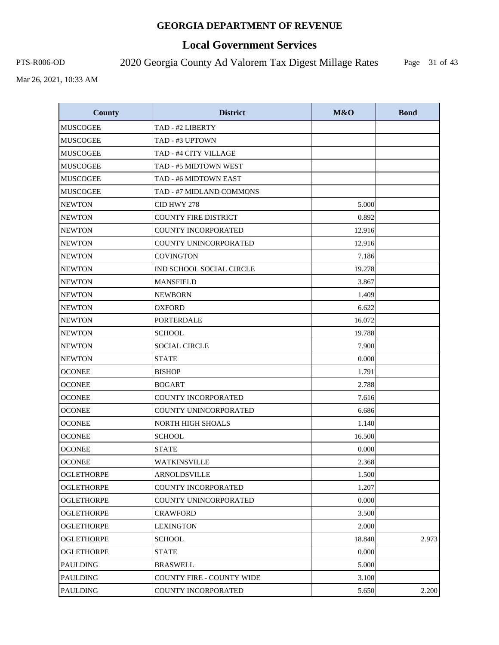# **Local Government Services**

PTS-R006-OD 2020 Georgia County Ad Valorem Tax Digest Millage Rates

Page 31 of 43

| <b>County</b>     | <b>District</b>                  | M&O    | <b>Bond</b> |
|-------------------|----------------------------------|--------|-------------|
| <b>MUSCOGEE</b>   | TAD - #2 LIBERTY                 |        |             |
| <b>MUSCOGEE</b>   | TAD - #3 UPTOWN                  |        |             |
| MUSCOGEE          | TAD - #4 CITY VILLAGE            |        |             |
| <b>MUSCOGEE</b>   | TAD - #5 MIDTOWN WEST            |        |             |
| <b>MUSCOGEE</b>   | TAD - #6 MIDTOWN EAST            |        |             |
| <b>MUSCOGEE</b>   | TAD - #7 MIDLAND COMMONS         |        |             |
| <b>NEWTON</b>     | CID HWY 278                      | 5.000  |             |
| <b>NEWTON</b>     | <b>COUNTY FIRE DISTRICT</b>      | 0.892  |             |
| <b>NEWTON</b>     | <b>COUNTY INCORPORATED</b>       | 12.916 |             |
| <b>NEWTON</b>     | COUNTY UNINCORPORATED            | 12.916 |             |
| <b>NEWTON</b>     | <b>COVINGTON</b>                 | 7.186  |             |
| <b>NEWTON</b>     | IND SCHOOL SOCIAL CIRCLE         | 19.278 |             |
| <b>NEWTON</b>     | <b>MANSFIELD</b>                 | 3.867  |             |
| <b>NEWTON</b>     | <b>NEWBORN</b>                   | 1.409  |             |
| <b>NEWTON</b>     | <b>OXFORD</b>                    | 6.622  |             |
| <b>NEWTON</b>     | <b>PORTERDALE</b>                | 16.072 |             |
| <b>NEWTON</b>     | <b>SCHOOL</b>                    | 19.788 |             |
| <b>NEWTON</b>     | <b>SOCIAL CIRCLE</b>             | 7.900  |             |
| <b>NEWTON</b>     | <b>STATE</b>                     | 0.000  |             |
| <b>OCONEE</b>     | <b>BISHOP</b>                    | 1.791  |             |
| <b>OCONEE</b>     | <b>BOGART</b>                    | 2.788  |             |
| <b>OCONEE</b>     | <b>COUNTY INCORPORATED</b>       | 7.616  |             |
| <b>OCONEE</b>     | COUNTY UNINCORPORATED            | 6.686  |             |
| <b>OCONEE</b>     | <b>NORTH HIGH SHOALS</b>         | 1.140  |             |
| <b>OCONEE</b>     | <b>SCHOOL</b>                    | 16.500 |             |
| <b>OCONEE</b>     | <b>STATE</b>                     | 0.000  |             |
| <b>OCONEE</b>     | <b>WATKINSVILLE</b>              | 2.368  |             |
| <b>OGLETHORPE</b> | ARNOLDSVILLE                     | 1.500  |             |
| <b>OGLETHORPE</b> | <b>COUNTY INCORPORATED</b>       | 1.207  |             |
| <b>OGLETHORPE</b> | COUNTY UNINCORPORATED            | 0.000  |             |
| <b>OGLETHORPE</b> | CRAWFORD                         | 3.500  |             |
| <b>OGLETHORPE</b> | <b>LEXINGTON</b>                 | 2.000  |             |
| <b>OGLETHORPE</b> | SCHOOL                           | 18.840 | 2.973       |
| <b>OGLETHORPE</b> | <b>STATE</b>                     | 0.000  |             |
| PAULDING          | BRASWELL                         | 5.000  |             |
| PAULDING          | <b>COUNTY FIRE - COUNTY WIDE</b> | 3.100  |             |
| <b>PAULDING</b>   | COUNTY INCORPORATED              | 5.650  | 2.200       |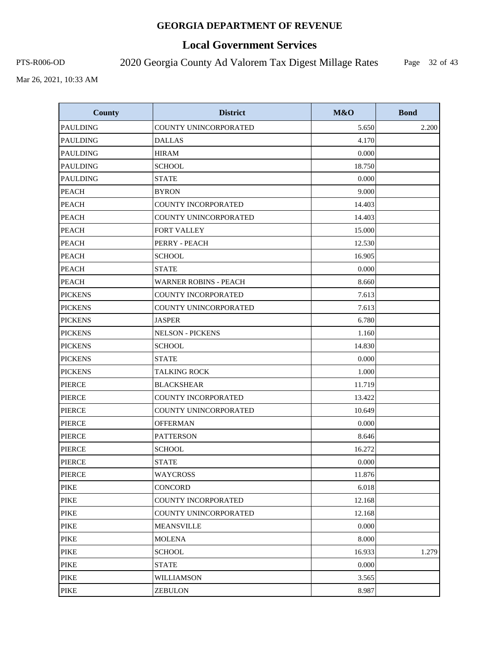# **Local Government Services**

PTS-R006-OD 2020 Georgia County Ad Valorem Tax Digest Millage Rates

Page 32 of 43

| <b>County</b>   | <b>District</b>              | M&O    | <b>Bond</b> |
|-----------------|------------------------------|--------|-------------|
| <b>PAULDING</b> | COUNTY UNINCORPORATED        | 5.650  | 2.200       |
| <b>PAULDING</b> | <b>DALLAS</b>                | 4.170  |             |
| <b>PAULDING</b> | <b>HIRAM</b>                 | 0.000  |             |
| <b>PAULDING</b> | <b>SCHOOL</b>                | 18.750 |             |
| <b>PAULDING</b> | <b>STATE</b>                 | 0.000  |             |
| <b>PEACH</b>    | <b>BYRON</b>                 | 9.000  |             |
| <b>PEACH</b>    | <b>COUNTY INCORPORATED</b>   | 14.403 |             |
| <b>PEACH</b>    | COUNTY UNINCORPORATED        | 14.403 |             |
| <b>PEACH</b>    | FORT VALLEY                  | 15.000 |             |
| <b>PEACH</b>    | PERRY - PEACH                | 12.530 |             |
| <b>PEACH</b>    | <b>SCHOOL</b>                | 16.905 |             |
| <b>PEACH</b>    | <b>STATE</b>                 | 0.000  |             |
| <b>PEACH</b>    | <b>WARNER ROBINS - PEACH</b> | 8.660  |             |
| <b>PICKENS</b>  | <b>COUNTY INCORPORATED</b>   | 7.613  |             |
| <b>PICKENS</b>  | COUNTY UNINCORPORATED        | 7.613  |             |
| <b>PICKENS</b>  | <b>JASPER</b>                | 6.780  |             |
| <b>PICKENS</b>  | <b>NELSON - PICKENS</b>      | 1.160  |             |
| <b>PICKENS</b>  | <b>SCHOOL</b>                | 14.830 |             |
| <b>PICKENS</b>  | <b>STATE</b>                 | 0.000  |             |
| <b>PICKENS</b>  | <b>TALKING ROCK</b>          | 1.000  |             |
| <b>PIERCE</b>   | <b>BLACKSHEAR</b>            | 11.719 |             |
| <b>PIERCE</b>   | <b>COUNTY INCORPORATED</b>   | 13.422 |             |
| <b>PIERCE</b>   | COUNTY UNINCORPORATED        | 10.649 |             |
| <b>PIERCE</b>   | <b>OFFERMAN</b>              | 0.000  |             |
| <b>PIERCE</b>   | <b>PATTERSON</b>             | 8.646  |             |
| <b>PIERCE</b>   | <b>SCHOOL</b>                | 16.272 |             |
| PIERCE          | <b>STATE</b>                 | 0.000  |             |
| <b>PIERCE</b>   | WAYCROSS                     | 11.876 |             |
| <b>PIKE</b>     | <b>CONCORD</b>               | 6.018  |             |
| PIKE            | COUNTY INCORPORATED          | 12.168 |             |
| PIKE            | <b>COUNTY UNINCORPORATED</b> | 12.168 |             |
| PIKE            | <b>MEANSVILLE</b>            | 0.000  |             |
| <b>PIKE</b>     | MOLENA                       | 8.000  |             |
| <b>PIKE</b>     | <b>SCHOOL</b>                | 16.933 | 1.279       |
| PIKE            | <b>STATE</b>                 | 0.000  |             |
| <b>PIKE</b>     | WILLIAMSON                   | 3.565  |             |
| <b>PIKE</b>     | <b>ZEBULON</b>               | 8.987  |             |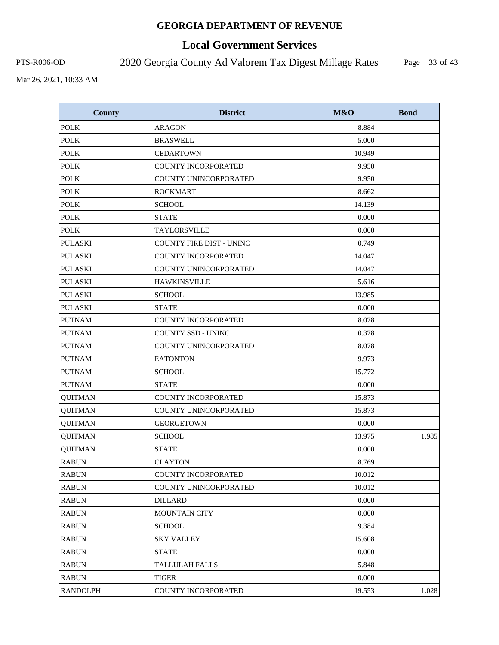# **Local Government Services**

PTS-R006-OD 2020 Georgia County Ad Valorem Tax Digest Millage Rates

Page 33 of 43

| <b>County</b>   | <b>District</b>                 | M&O    | <b>Bond</b> |
|-----------------|---------------------------------|--------|-------------|
| <b>POLK</b>     | <b>ARAGON</b>                   | 8.884  |             |
| <b>POLK</b>     | <b>BRASWELL</b>                 | 5.000  |             |
| <b>POLK</b>     | <b>CEDARTOWN</b>                | 10.949 |             |
| <b>POLK</b>     | <b>COUNTY INCORPORATED</b>      | 9.950  |             |
| <b>POLK</b>     | COUNTY UNINCORPORATED           | 9.950  |             |
| <b>POLK</b>     | <b>ROCKMART</b>                 | 8.662  |             |
| <b>POLK</b>     | <b>SCHOOL</b>                   | 14.139 |             |
| <b>POLK</b>     | <b>STATE</b>                    | 0.000  |             |
| <b>POLK</b>     | TAYLORSVILLE                    | 0.000  |             |
| <b>PULASKI</b>  | <b>COUNTY FIRE DIST - UNINC</b> | 0.749  |             |
| <b>PULASKI</b>  | COUNTY INCORPORATED             | 14.047 |             |
| <b>PULASKI</b>  | COUNTY UNINCORPORATED           | 14.047 |             |
| <b>PULASKI</b>  | <b>HAWKINSVILLE</b>             | 5.616  |             |
| <b>PULASKI</b>  | <b>SCHOOL</b>                   | 13.985 |             |
| <b>PULASKI</b>  | <b>STATE</b>                    | 0.000  |             |
| <b>PUTNAM</b>   | <b>COUNTY INCORPORATED</b>      | 8.078  |             |
| <b>PUTNAM</b>   | <b>COUNTY SSD - UNINC</b>       | 0.378  |             |
| <b>PUTNAM</b>   | COUNTY UNINCORPORATED           | 8.078  |             |
| <b>PUTNAM</b>   | <b>EATONTON</b>                 | 9.973  |             |
| <b>PUTNAM</b>   | <b>SCHOOL</b>                   | 15.772 |             |
| <b>PUTNAM</b>   | <b>STATE</b>                    | 0.000  |             |
| <b>QUITMAN</b>  | <b>COUNTY INCORPORATED</b>      | 15.873 |             |
| <b>QUITMAN</b>  | COUNTY UNINCORPORATED           | 15.873 |             |
| <b>QUITMAN</b>  | <b>GEORGETOWN</b>               | 0.000  |             |
| <b>QUITMAN</b>  | <b>SCHOOL</b>                   | 13.975 | 1.985       |
| <b>QUITMAN</b>  | <b>STATE</b>                    | 0.000  |             |
| <b>RABUN</b>    | <b>CLAYTON</b>                  | 8.769  |             |
| <b>RABUN</b>    | COUNTY INCORPORATED             | 10.012 |             |
| <b>RABUN</b>    | COUNTY UNINCORPORATED           | 10.012 |             |
| <b>RABUN</b>    | <b>DILLARD</b>                  | 0.000  |             |
| <b>RABUN</b>    | <b>MOUNTAIN CITY</b>            | 0.000  |             |
| <b>RABUN</b>    | <b>SCHOOL</b>                   | 9.384  |             |
| <b>RABUN</b>    | <b>SKY VALLEY</b>               | 15.608 |             |
| <b>RABUN</b>    | <b>STATE</b>                    | 0.000  |             |
| <b>RABUN</b>    | TALLULAH FALLS                  | 5.848  |             |
| <b>RABUN</b>    | <b>TIGER</b>                    | 0.000  |             |
| <b>RANDOLPH</b> | COUNTY INCORPORATED             | 19.553 | 1.028       |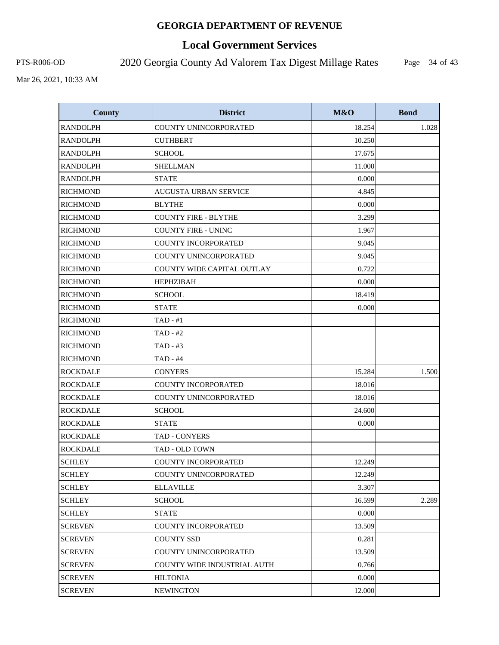# **Local Government Services**

PTS-R006-OD 2020 Georgia County Ad Valorem Tax Digest Millage Rates

Page 34 of 43

| <b>County</b>   | <b>District</b>              | M&O    | <b>Bond</b> |
|-----------------|------------------------------|--------|-------------|
| <b>RANDOLPH</b> | COUNTY UNINCORPORATED        | 18.254 | 1.028       |
| <b>RANDOLPH</b> | <b>CUTHBERT</b>              | 10.250 |             |
| <b>RANDOLPH</b> | <b>SCHOOL</b>                | 17.675 |             |
| <b>RANDOLPH</b> | <b>SHELLMAN</b>              | 11.000 |             |
| <b>RANDOLPH</b> | <b>STATE</b>                 | 0.000  |             |
| <b>RICHMOND</b> | <b>AUGUSTA URBAN SERVICE</b> | 4.845  |             |
| <b>RICHMOND</b> | <b>BLYTHE</b>                | 0.000  |             |
| <b>RICHMOND</b> | <b>COUNTY FIRE - BLYTHE</b>  | 3.299  |             |
| <b>RICHMOND</b> | <b>COUNTY FIRE - UNINC</b>   | 1.967  |             |
| <b>RICHMOND</b> | <b>COUNTY INCORPORATED</b>   | 9.045  |             |
| <b>RICHMOND</b> | COUNTY UNINCORPORATED        | 9.045  |             |
| <b>RICHMOND</b> | COUNTY WIDE CAPITAL OUTLAY   | 0.722  |             |
| <b>RICHMOND</b> | <b>HEPHZIBAH</b>             | 0.000  |             |
| <b>RICHMOND</b> | <b>SCHOOL</b>                | 18.419 |             |
| <b>RICHMOND</b> | <b>STATE</b>                 | 0.000  |             |
| <b>RICHMOND</b> | $TAD - #1$                   |        |             |
| <b>RICHMOND</b> | $TAD - #2$                   |        |             |
| <b>RICHMOND</b> | TAD - #3                     |        |             |
| <b>RICHMOND</b> | $TAD - #4$                   |        |             |
| <b>ROCKDALE</b> | <b>CONYERS</b>               | 15.284 | 1.500       |
| <b>ROCKDALE</b> | <b>COUNTY INCORPORATED</b>   | 18.016 |             |
| <b>ROCKDALE</b> | COUNTY UNINCORPORATED        | 18.016 |             |
| <b>ROCKDALE</b> | <b>SCHOOL</b>                | 24.600 |             |
| <b>ROCKDALE</b> | <b>STATE</b>                 | 0.000  |             |
| <b>ROCKDALE</b> | TAD - CONYERS                |        |             |
| <b>ROCKDALE</b> | TAD - OLD TOWN               |        |             |
| <b>SCHLEY</b>   | COUNTY INCORPORATED          | 12.249 |             |
| <b>SCHLEY</b>   | COUNTY UNINCORPORATED        | 12.249 |             |
| <b>SCHLEY</b>   | <b>ELLAVILLE</b>             | 3.307  |             |
| <b>SCHLEY</b>   | SCHOOL                       | 16.599 | 2.289       |
| <b>SCHLEY</b>   | <b>STATE</b>                 | 0.000  |             |
| <b>SCREVEN</b>  | <b>COUNTY INCORPORATED</b>   | 13.509 |             |
| <b>SCREVEN</b>  | <b>COUNTY SSD</b>            | 0.281  |             |
| <b>SCREVEN</b>  | COUNTY UNINCORPORATED        | 13.509 |             |
| <b>SCREVEN</b>  | COUNTY WIDE INDUSTRIAL AUTH  | 0.766  |             |
| <b>SCREVEN</b>  | <b>HILTONIA</b>              | 0.000  |             |
| <b>SCREVEN</b>  | <b>NEWINGTON</b>             | 12.000 |             |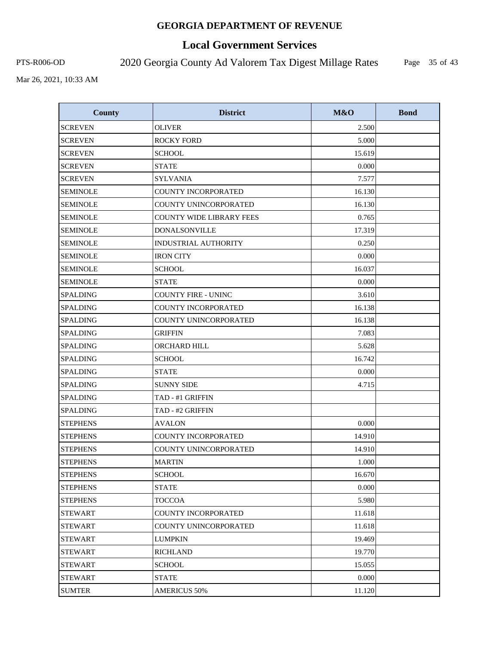# **Local Government Services**

PTS-R006-OD 2020 Georgia County Ad Valorem Tax Digest Millage Rates

Page 35 of 43

| <b>County</b>   | <b>District</b>                 | M&O    | <b>Bond</b> |
|-----------------|---------------------------------|--------|-------------|
| <b>SCREVEN</b>  | <b>OLIVER</b>                   | 2.500  |             |
| <b>SCREVEN</b>  | <b>ROCKY FORD</b>               | 5.000  |             |
| <b>SCREVEN</b>  | <b>SCHOOL</b>                   | 15.619 |             |
| <b>SCREVEN</b>  | <b>STATE</b>                    | 0.000  |             |
| <b>SCREVEN</b>  | <b>SYLVANIA</b>                 | 7.577  |             |
| <b>SEMINOLE</b> | <b>COUNTY INCORPORATED</b>      | 16.130 |             |
| <b>SEMINOLE</b> | <b>COUNTY UNINCORPORATED</b>    | 16.130 |             |
| <b>SEMINOLE</b> | <b>COUNTY WIDE LIBRARY FEES</b> | 0.765  |             |
| <b>SEMINOLE</b> | <b>DONALSONVILLE</b>            | 17.319 |             |
| <b>SEMINOLE</b> | <b>INDUSTRIAL AUTHORITY</b>     | 0.250  |             |
| <b>SEMINOLE</b> | <b>IRON CITY</b>                | 0.000  |             |
| <b>SEMINOLE</b> | <b>SCHOOL</b>                   | 16.037 |             |
| <b>SEMINOLE</b> | <b>STATE</b>                    | 0.000  |             |
| <b>SPALDING</b> | <b>COUNTY FIRE - UNINC</b>      | 3.610  |             |
| <b>SPALDING</b> | COUNTY INCORPORATED             | 16.138 |             |
| <b>SPALDING</b> | COUNTY UNINCORPORATED           | 16.138 |             |
| <b>SPALDING</b> | <b>GRIFFIN</b>                  | 7.083  |             |
| <b>SPALDING</b> | ORCHARD HILL                    | 5.628  |             |
| <b>SPALDING</b> | <b>SCHOOL</b>                   | 16.742 |             |
| <b>SPALDING</b> | <b>STATE</b>                    | 0.000  |             |
| <b>SPALDING</b> | <b>SUNNY SIDE</b>               | 4.715  |             |
| <b>SPALDING</b> | TAD - #1 GRIFFIN                |        |             |
| <b>SPALDING</b> | TAD - #2 GRIFFIN                |        |             |
| <b>STEPHENS</b> | <b>AVALON</b>                   | 0.000  |             |
| <b>STEPHENS</b> | <b>COUNTY INCORPORATED</b>      | 14.910 |             |
| <b>STEPHENS</b> | <b>COUNTY UNINCORPORATED</b>    | 14.910 |             |
| <b>STEPHENS</b> | <b>MARTIN</b>                   | 1.000  |             |
| <b>STEPHENS</b> | <b>SCHOOL</b>                   | 16.670 |             |
| <b>STEPHENS</b> | <b>STATE</b>                    | 0.000  |             |
| <b>STEPHENS</b> | TOCCOA                          | 5.980  |             |
| <b>STEWART</b>  | COUNTY INCORPORATED             | 11.618 |             |
| <b>STEWART</b>  | COUNTY UNINCORPORATED           | 11.618 |             |
| <b>STEWART</b>  | <b>LUMPKIN</b>                  | 19.469 |             |
| <b>STEWART</b>  | <b>RICHLAND</b>                 | 19.770 |             |
| <b>STEWART</b>  | SCHOOL                          | 15.055 |             |
| <b>STEWART</b>  | <b>STATE</b>                    | 0.000  |             |
| <b>SUMTER</b>   | <b>AMERICUS 50%</b>             | 11.120 |             |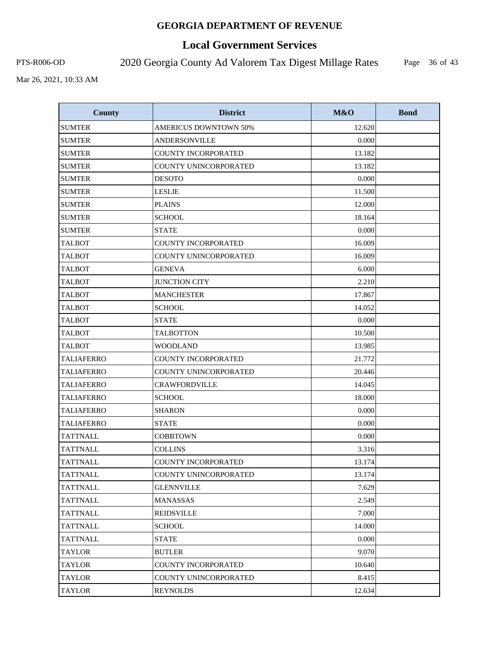# **Local Government Services**

PTS-R006-OD 2020 Georgia County Ad Valorem Tax Digest Millage Rates

Page 36 of 43

| <b>County</b>     | <b>District</b>              | M&O    | <b>Bond</b> |
|-------------------|------------------------------|--------|-------------|
| <b>SUMTER</b>     | <b>AMERICUS DOWNTOWN 50%</b> | 12.620 |             |
| <b>SUMTER</b>     | ANDERSONVILLE                | 0.000  |             |
| <b>SUMTER</b>     | <b>COUNTY INCORPORATED</b>   | 13.182 |             |
| <b>SUMTER</b>     | COUNTY UNINCORPORATED        | 13.182 |             |
| <b>SUMTER</b>     | <b>DESOTO</b>                | 0.000  |             |
| <b>SUMTER</b>     | <b>LESLIE</b>                | 11.500 |             |
| <b>SUMTER</b>     | <b>PLAINS</b>                | 12.000 |             |
| <b>SUMTER</b>     | <b>SCHOOL</b>                | 18.164 |             |
| <b>SUMTER</b>     | <b>STATE</b>                 | 0.000  |             |
| <b>TALBOT</b>     | COUNTY INCORPORATED          | 16.009 |             |
| <b>TALBOT</b>     | COUNTY UNINCORPORATED        | 16.009 |             |
| <b>TALBOT</b>     | <b>GENEVA</b>                | 6.000  |             |
| <b>TALBOT</b>     | <b>JUNCTION CITY</b>         | 2.210  |             |
| <b>TALBOT</b>     | <b>MANCHESTER</b>            | 17.867 |             |
| <b>TALBOT</b>     | <b>SCHOOL</b>                | 14.052 |             |
| <b>TALBOT</b>     | <b>STATE</b>                 | 0.000  |             |
| <b>TALBOT</b>     | <b>TALBOTTON</b>             | 10.500 |             |
| <b>TALBOT</b>     | <b>WOODLAND</b>              | 13.985 |             |
| <b>TALIAFERRO</b> | <b>COUNTY INCORPORATED</b>   | 21.772 |             |
| <b>TALIAFERRO</b> | COUNTY UNINCORPORATED        | 20.446 |             |
| <b>TALIAFERRO</b> | <b>CRAWFORDVILLE</b>         | 14.045 |             |
| <b>TALIAFERRO</b> | <b>SCHOOL</b>                | 18.000 |             |
| <b>TALIAFERRO</b> | <b>SHARON</b>                | 0.000  |             |
| <b>TALIAFERRO</b> | <b>STATE</b>                 | 0.000  |             |
| <b>TATTNALL</b>   | <b>COBBTOWN</b>              | 0.000  |             |
| <b>TATTNALL</b>   | <b>COLLINS</b>               | 3.316  |             |
| <b>TATTNALL</b>   | <b>COUNTY INCORPORATED</b>   | 13.174 |             |
| TATTNALL          | COUNTY UNINCORPORATED        | 13.174 |             |
| TATTNALL          | <b>GLENNVILLE</b>            | 7.629  |             |
| TATTNALL          | <b>MANASSAS</b>              | 2.549  |             |
| <b>TATTNALL</b>   | <b>REIDSVILLE</b>            | 7.000  |             |
| <b>TATTNALL</b>   | SCHOOL                       | 14.000 |             |
| TATTNALL          | <b>STATE</b>                 | 0.000  |             |
| TAYLOR            | <b>BUTLER</b>                | 9.070  |             |
| TAYLOR            | <b>COUNTY INCORPORATED</b>   | 10.640 |             |
| <b>TAYLOR</b>     | COUNTY UNINCORPORATED        | 8.415  |             |
| <b>TAYLOR</b>     | <b>REYNOLDS</b>              | 12.634 |             |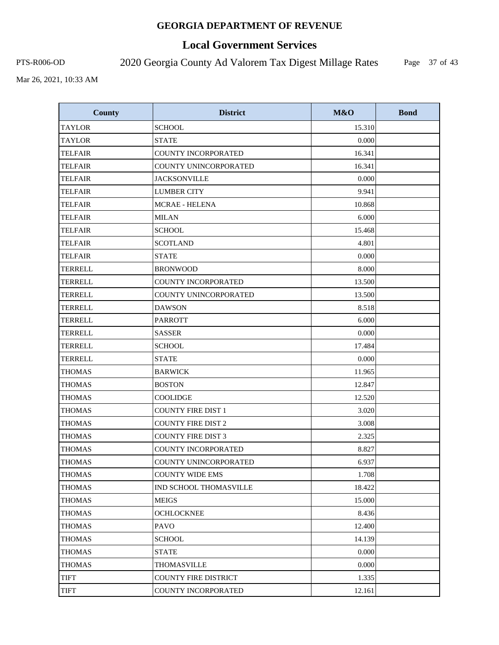# **Local Government Services**

PTS-R006-OD 2020 Georgia County Ad Valorem Tax Digest Millage Rates

Page 37 of 43

| <b>County</b>  | <b>District</b>             | M&O    | <b>Bond</b> |
|----------------|-----------------------------|--------|-------------|
| <b>TAYLOR</b>  | <b>SCHOOL</b>               | 15.310 |             |
| <b>TAYLOR</b>  | <b>STATE</b>                | 0.000  |             |
| <b>TELFAIR</b> | <b>COUNTY INCORPORATED</b>  | 16.341 |             |
| <b>TELFAIR</b> | COUNTY UNINCORPORATED       | 16.341 |             |
| <b>TELFAIR</b> | <b>JACKSONVILLE</b>         | 0.000  |             |
| <b>TELFAIR</b> | <b>LUMBER CITY</b>          | 9.941  |             |
| <b>TELFAIR</b> | <b>MCRAE - HELENA</b>       | 10.868 |             |
| <b>TELFAIR</b> | <b>MILAN</b>                | 6.000  |             |
| <b>TELFAIR</b> | <b>SCHOOL</b>               | 15.468 |             |
| <b>TELFAIR</b> | <b>SCOTLAND</b>             | 4.801  |             |
| <b>TELFAIR</b> | <b>STATE</b>                | 0.000  |             |
| <b>TERRELL</b> | <b>BRONWOOD</b>             | 8.000  |             |
| <b>TERRELL</b> | COUNTY INCORPORATED         | 13.500 |             |
| <b>TERRELL</b> | COUNTY UNINCORPORATED       | 13.500 |             |
| <b>TERRELL</b> | <b>DAWSON</b>               | 8.518  |             |
| <b>TERRELL</b> | <b>PARROTT</b>              | 6.000  |             |
| <b>TERRELL</b> | <b>SASSER</b>               | 0.000  |             |
| <b>TERRELL</b> | <b>SCHOOL</b>               | 17.484 |             |
| <b>TERRELL</b> | <b>STATE</b>                | 0.000  |             |
| <b>THOMAS</b>  | <b>BARWICK</b>              | 11.965 |             |
| <b>THOMAS</b>  | <b>BOSTON</b>               | 12.847 |             |
| <b>THOMAS</b>  | <b>COOLIDGE</b>             | 12.520 |             |
| <b>THOMAS</b>  | <b>COUNTY FIRE DIST 1</b>   | 3.020  |             |
| <b>THOMAS</b>  | <b>COUNTY FIRE DIST 2</b>   | 3.008  |             |
| <b>THOMAS</b>  | <b>COUNTY FIRE DIST 3</b>   | 2.325  |             |
| <b>THOMAS</b>  | <b>COUNTY INCORPORATED</b>  | 8.827  |             |
| <b>THOMAS</b>  | COUNTY UNINCORPORATED       | 6.937  |             |
| <b>THOMAS</b>  | <b>COUNTY WIDE EMS</b>      | 1.708  |             |
| THOMAS         | IND SCHOOL THOMASVILLE      | 18.422 |             |
| THOMAS         | MEIGS                       | 15.000 |             |
| <b>THOMAS</b>  | <b>OCHLOCKNEE</b>           | 8.436  |             |
| <b>THOMAS</b>  | PAVO                        | 12.400 |             |
| <b>THOMAS</b>  | <b>SCHOOL</b>               | 14.139 |             |
| <b>THOMAS</b>  | <b>STATE</b>                | 0.000  |             |
| THOMAS         | <b>THOMASVILLE</b>          | 0.000  |             |
| <b>TIFT</b>    | <b>COUNTY FIRE DISTRICT</b> | 1.335  |             |
| TIFT           | COUNTY INCORPORATED         | 12.161 |             |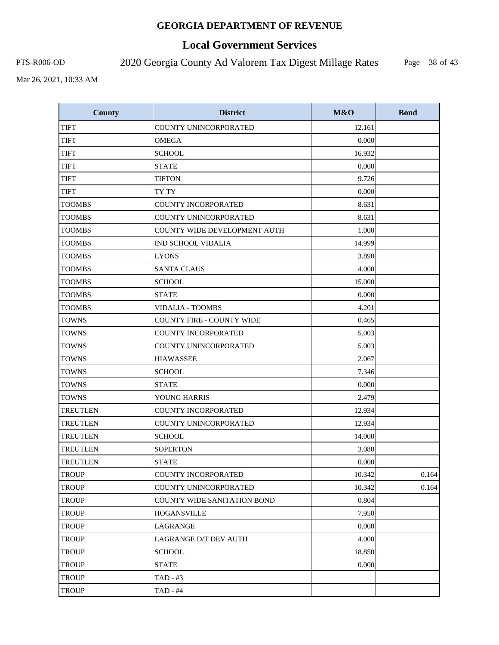# **Local Government Services**

PTS-R006-OD 2020 Georgia County Ad Valorem Tax Digest Millage Rates

Page 38 of 43

| County          | <b>District</b>                    | M&O    | <b>Bond</b> |
|-----------------|------------------------------------|--------|-------------|
| <b>TIFT</b>     | COUNTY UNINCORPORATED              | 12.161 |             |
| <b>TIFT</b>     | <b>OMEGA</b>                       | 0.000  |             |
| TIFT            | <b>SCHOOL</b>                      | 16.932 |             |
| <b>TIFT</b>     | <b>STATE</b>                       | 0.000  |             |
| <b>TIFT</b>     | <b>TIFTON</b>                      | 9.726  |             |
| <b>TIFT</b>     | TY TY                              | 0.000  |             |
| <b>TOOMBS</b>   | <b>COUNTY INCORPORATED</b>         | 8.631  |             |
| <b>TOOMBS</b>   | COUNTY UNINCORPORATED              | 8.631  |             |
| <b>TOOMBS</b>   | COUNTY WIDE DEVELOPMENT AUTH       | 1.000  |             |
| <b>TOOMBS</b>   | <b>IND SCHOOL VIDALIA</b>          | 14.999 |             |
| <b>TOOMBS</b>   | <b>LYONS</b>                       | 3.890  |             |
| <b>TOOMBS</b>   | <b>SANTA CLAUS</b>                 | 4.000  |             |
| <b>TOOMBS</b>   | <b>SCHOOL</b>                      | 15.000 |             |
| <b>TOOMBS</b>   | <b>STATE</b>                       | 0.000  |             |
| TOOMBS          | VIDALIA - TOOMBS                   | 4.201  |             |
| <b>TOWNS</b>    | <b>COUNTY FIRE - COUNTY WIDE</b>   | 0.465  |             |
| <b>TOWNS</b>    | <b>COUNTY INCORPORATED</b>         | 5.003  |             |
| <b>TOWNS</b>    | COUNTY UNINCORPORATED              | 5.003  |             |
| <b>TOWNS</b>    | <b>HIAWASSEE</b>                   | 2.067  |             |
| <b>TOWNS</b>    | <b>SCHOOL</b>                      | 7.346  |             |
| <b>TOWNS</b>    | <b>STATE</b>                       | 0.000  |             |
| <b>TOWNS</b>    | YOUNG HARRIS                       | 2.479  |             |
| <b>TREUTLEN</b> | COUNTY INCORPORATED                | 12.934 |             |
| <b>TREUTLEN</b> | <b>COUNTY UNINCORPORATED</b>       | 12.934 |             |
| <b>TREUTLEN</b> | <b>SCHOOL</b>                      | 14.000 |             |
| <b>TREUTLEN</b> | <b>SOPERTON</b>                    | 3.080  |             |
| <b>TREUTLEN</b> | <b>STATE</b>                       | 0.000  |             |
| <b>TROUP</b>    | COUNTY INCORPORATED                | 10.342 | 0.164       |
| <b>TROUP</b>    | COUNTY UNINCORPORATED              | 10.342 | 0.164       |
| <b>TROUP</b>    | <b>COUNTY WIDE SANITATION BOND</b> | 0.804  |             |
| <b>TROUP</b>    | <b>HOGANSVILLE</b>                 | 7.950  |             |
| <b>TROUP</b>    | LAGRANGE                           | 0.000  |             |
| TROUP           | LAGRANGE D/T DEV AUTH              | 4.000  |             |
| TROUP           | <b>SCHOOL</b>                      | 18.850 |             |
| <b>TROUP</b>    | <b>STATE</b>                       | 0.000  |             |
| <b>TROUP</b>    | $TAD - #3$                         |        |             |
| <b>TROUP</b>    | TAD - #4                           |        |             |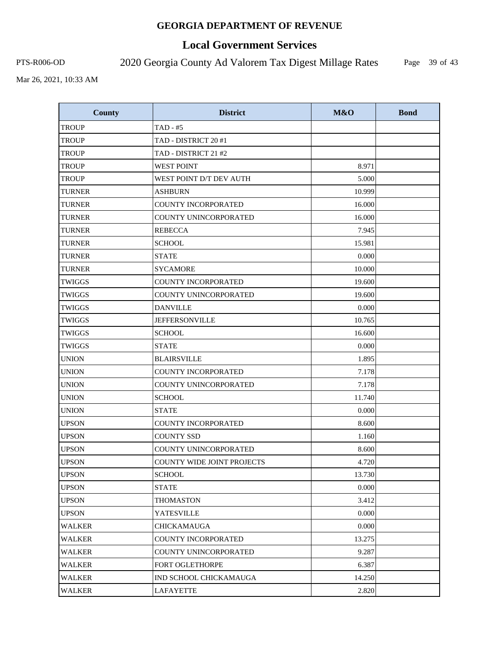# **Local Government Services**

PTS-R006-OD 2020 Georgia County Ad Valorem Tax Digest Millage Rates

Page 39 of 43

| <b>County</b> | <b>District</b>            | M&O    | <b>Bond</b> |
|---------------|----------------------------|--------|-------------|
| <b>TROUP</b>  | $TAD - #5$                 |        |             |
| <b>TROUP</b>  | TAD - DISTRICT 20 #1       |        |             |
| <b>TROUP</b>  | TAD - DISTRICT 21 #2       |        |             |
| <b>TROUP</b>  | <b>WEST POINT</b>          | 8.971  |             |
| <b>TROUP</b>  | WEST POINT D/T DEV AUTH    | 5.000  |             |
| <b>TURNER</b> | <b>ASHBURN</b>             | 10.999 |             |
| <b>TURNER</b> | COUNTY INCORPORATED        | 16.000 |             |
| <b>TURNER</b> | COUNTY UNINCORPORATED      | 16.000 |             |
| <b>TURNER</b> | <b>REBECCA</b>             | 7.945  |             |
| <b>TURNER</b> | <b>SCHOOL</b>              | 15.981 |             |
| <b>TURNER</b> | <b>STATE</b>               | 0.000  |             |
| <b>TURNER</b> | <b>SYCAMORE</b>            | 10.000 |             |
| <b>TWIGGS</b> | <b>COUNTY INCORPORATED</b> | 19.600 |             |
| <b>TWIGGS</b> | COUNTY UNINCORPORATED      | 19.600 |             |
| <b>TWIGGS</b> | <b>DANVILLE</b>            | 0.000  |             |
| <b>TWIGGS</b> | <b>JEFFERSONVILLE</b>      | 10.765 |             |
| <b>TWIGGS</b> | <b>SCHOOL</b>              | 16.600 |             |
| <b>TWIGGS</b> | <b>STATE</b>               | 0.000  |             |
| <b>UNION</b>  | <b>BLAIRSVILLE</b>         | 1.895  |             |
| <b>UNION</b>  | COUNTY INCORPORATED        | 7.178  |             |
| <b>UNION</b>  | COUNTY UNINCORPORATED      | 7.178  |             |
| <b>UNION</b>  | <b>SCHOOL</b>              | 11.740 |             |
| <b>UNION</b>  | <b>STATE</b>               | 0.000  |             |
| <b>UPSON</b>  | <b>COUNTY INCORPORATED</b> | 8.600  |             |
| <b>UPSON</b>  | <b>COUNTY SSD</b>          | 1.160  |             |
| <b>UPSON</b>  | COUNTY UNINCORPORATED      | 8.600  |             |
| <b>UPSON</b>  | COUNTY WIDE JOINT PROJECTS | 4.720  |             |
| <b>UPSON</b>  | <b>SCHOOL</b>              | 13.730 |             |
| <b>UPSON</b>  | <b>STATE</b>               | 0.000  |             |
| <b>UPSON</b>  | <b>THOMASTON</b>           | 3.412  |             |
| <b>UPSON</b>  | <b>YATESVILLE</b>          | 0.000  |             |
| <b>WALKER</b> | <b>CHICKAMAUGA</b>         | 0.000  |             |
| <b>WALKER</b> | <b>COUNTY INCORPORATED</b> | 13.275 |             |
| <b>WALKER</b> | COUNTY UNINCORPORATED      | 9.287  |             |
| WALKER        | <b>FORT OGLETHORPE</b>     | 6.387  |             |
| <b>WALKER</b> | IND SCHOOL CHICKAMAUGA     | 14.250 |             |
| <b>WALKER</b> | <b>LAFAYETTE</b>           | 2.820  |             |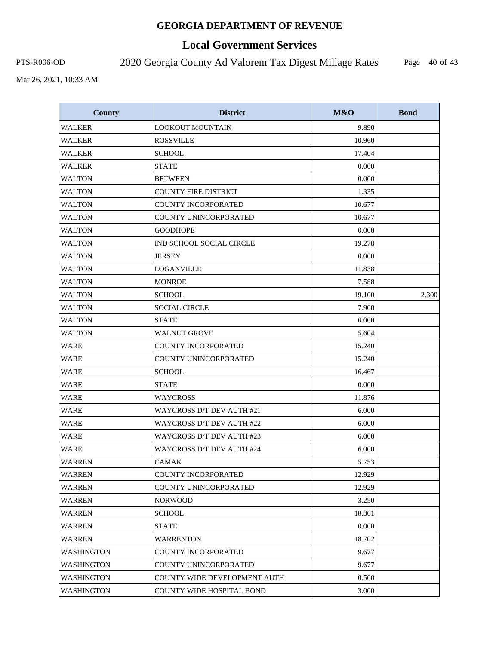# **Local Government Services**

PTS-R006-OD 2020 Georgia County Ad Valorem Tax Digest Millage Rates

Page 40 of 43

| <b>County</b>     | <b>District</b>                     | M&O    | <b>Bond</b> |
|-------------------|-------------------------------------|--------|-------------|
| <b>WALKER</b>     | <b>LOOKOUT MOUNTAIN</b>             | 9.890  |             |
| WALKER            | <b>ROSSVILLE</b>                    | 10.960 |             |
| <b>WALKER</b>     | <b>SCHOOL</b>                       | 17.404 |             |
| <b>WALKER</b>     | <b>STATE</b>                        | 0.000  |             |
| <b>WALTON</b>     | <b>BETWEEN</b>                      | 0.000  |             |
| <b>WALTON</b>     | <b>COUNTY FIRE DISTRICT</b>         | 1.335  |             |
| <b>WALTON</b>     | COUNTY INCORPORATED                 | 10.677 |             |
| <b>WALTON</b>     | COUNTY UNINCORPORATED               | 10.677 |             |
| <b>WALTON</b>     | <b>GOODHOPE</b>                     | 0.000  |             |
| <b>WALTON</b>     | IND SCHOOL SOCIAL CIRCLE            | 19.278 |             |
| <b>WALTON</b>     | <b>JERSEY</b>                       | 0.000  |             |
| <b>WALTON</b>     | <b>LOGANVILLE</b>                   | 11.838 |             |
| <b>WALTON</b>     | <b>MONROE</b>                       | 7.588  |             |
| <b>WALTON</b>     | <b>SCHOOL</b>                       | 19.100 | 2.300       |
| <b>WALTON</b>     | <b>SOCIAL CIRCLE</b>                | 7.900  |             |
| <b>WALTON</b>     | <b>STATE</b>                        | 0.000  |             |
| <b>WALTON</b>     | <b>WALNUT GROVE</b>                 | 5.604  |             |
| <b>WARE</b>       | COUNTY INCORPORATED                 | 15.240 |             |
| <b>WARE</b>       | COUNTY UNINCORPORATED               | 15.240 |             |
| <b>WARE</b>       | <b>SCHOOL</b>                       | 16.467 |             |
| <b>WARE</b>       | <b>STATE</b>                        | 0.000  |             |
| <b>WARE</b>       | <b>WAYCROSS</b>                     | 11.876 |             |
| <b>WARE</b>       | WAYCROSS D/T DEV AUTH #21           | 6.000  |             |
| <b>WARE</b>       | WAYCROSS D/T DEV AUTH #22           | 6.000  |             |
| <b>WARE</b>       | WAYCROSS D/T DEV AUTH #23           | 6.000  |             |
| <b>WARE</b>       | WAYCROSS D/T DEV AUTH #24           | 6.000  |             |
| <b>WARREN</b>     | <b>CAMAK</b>                        | 5.753  |             |
| <b>WARREN</b>     | COUNTY INCORPORATED                 | 12.929 |             |
| <b>WARREN</b>     | COUNTY UNINCORPORATED               | 12.929 |             |
| WARREN            | <b>NORWOOD</b>                      | 3.250  |             |
| <b>WARREN</b>     | <b>SCHOOL</b>                       | 18.361 |             |
| <b>WARREN</b>     | <b>STATE</b>                        | 0.000  |             |
| <b>WARREN</b>     | <b>WARRENTON</b>                    | 18.702 |             |
| <b>WASHINGTON</b> | <b>COUNTY INCORPORATED</b>          | 9.677  |             |
| <b>WASHINGTON</b> | COUNTY UNINCORPORATED               | 9.677  |             |
| WASHINGTON        | <b>COUNTY WIDE DEVELOPMENT AUTH</b> | 0.500  |             |
| <b>WASHINGTON</b> | COUNTY WIDE HOSPITAL BOND           | 3.000  |             |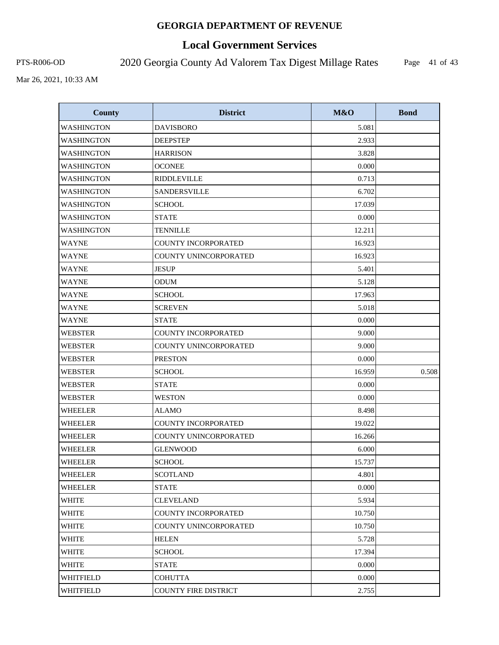# **Local Government Services**

PTS-R006-OD 2020 Georgia County Ad Valorem Tax Digest Millage Rates

Page 41 of 43

| <b>County</b>     | <b>District</b>            | M&O    | <b>Bond</b> |
|-------------------|----------------------------|--------|-------------|
| <b>WASHINGTON</b> | <b>DAVISBORO</b>           | 5.081  |             |
| <b>WASHINGTON</b> | <b>DEEPSTEP</b>            | 2.933  |             |
| <b>WASHINGTON</b> | <b>HARRISON</b>            | 3.828  |             |
| <b>WASHINGTON</b> | <b>OCONEE</b>              | 0.000  |             |
| <b>WASHINGTON</b> | <b>RIDDLEVILLE</b>         | 0.713  |             |
| <b>WASHINGTON</b> | SANDERSVILLE               | 6.702  |             |
| <b>WASHINGTON</b> | <b>SCHOOL</b>              | 17.039 |             |
| <b>WASHINGTON</b> | <b>STATE</b>               | 0.000  |             |
| <b>WASHINGTON</b> | <b>TENNILLE</b>            | 12.211 |             |
| <b>WAYNE</b>      | <b>COUNTY INCORPORATED</b> | 16.923 |             |
| <b>WAYNE</b>      | COUNTY UNINCORPORATED      | 16.923 |             |
| <b>WAYNE</b>      | <b>JESUP</b>               | 5.401  |             |
| <b>WAYNE</b>      | <b>ODUM</b>                | 5.128  |             |
| <b>WAYNE</b>      | <b>SCHOOL</b>              | 17.963 |             |
| <b>WAYNE</b>      | <b>SCREVEN</b>             | 5.018  |             |
| <b>WAYNE</b>      | <b>STATE</b>               | 0.000  |             |
| <b>WEBSTER</b>    | COUNTY INCORPORATED        | 9.000  |             |
| <b>WEBSTER</b>    | COUNTY UNINCORPORATED      | 9.000  |             |
| <b>WEBSTER</b>    | <b>PRESTON</b>             | 0.000  |             |
| <b>WEBSTER</b>    | <b>SCHOOL</b>              | 16.959 | 0.508       |
| <b>WEBSTER</b>    | <b>STATE</b>               | 0.000  |             |
| <b>WEBSTER</b>    | <b>WESTON</b>              | 0.000  |             |
| <b>WHEELER</b>    | <b>ALAMO</b>               | 8.498  |             |
| <b>WHEELER</b>    | COUNTY INCORPORATED        | 19.022 |             |
| <b>WHEELER</b>    | COUNTY UNINCORPORATED      | 16.266 |             |
| <b>WHEELER</b>    | <b>GLENWOOD</b>            | 6.000  |             |
| <b>WHEELER</b>    | <b>SCHOOL</b>              | 15.737 |             |
| WHEELER           | <b>SCOTLAND</b>            | 4.801  |             |
| WHEELER           | <b>STATE</b>               | 0.000  |             |
| <b>WHITE</b>      | <b>CLEVELAND</b>           | 5.934  |             |
| WHITE             | COUNTY INCORPORATED        | 10.750 |             |
| WHITE             | COUNTY UNINCORPORATED      | 10.750 |             |
| <b>WHITE</b>      | <b>HELEN</b>               | 5.728  |             |
| <b>WHITE</b>      | <b>SCHOOL</b>              | 17.394 |             |
| WHITE             | <b>STATE</b>               | 0.000  |             |
| WHITFIELD         | <b>COHUTTA</b>             | 0.000  |             |
| WHITFIELD         | COUNTY FIRE DISTRICT       | 2.755  |             |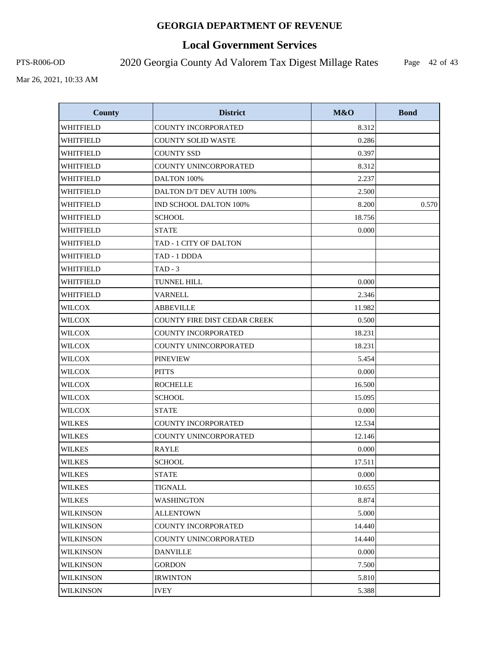# **Local Government Services**

PTS-R006-OD 2020 Georgia County Ad Valorem Tax Digest Millage Rates

Page 42 of 43

| <b>County</b>    | <b>District</b>                     | M&O    | <b>Bond</b> |
|------------------|-------------------------------------|--------|-------------|
| <b>WHITFIELD</b> | <b>COUNTY INCORPORATED</b>          | 8.312  |             |
| WHITFIELD        | <b>COUNTY SOLID WASTE</b>           | 0.286  |             |
| <b>WHITFIELD</b> | <b>COUNTY SSD</b>                   | 0.397  |             |
| WHITFIELD        | COUNTY UNINCORPORATED               | 8.312  |             |
| WHITFIELD        | DALTON 100%                         | 2.237  |             |
| WHITFIELD        | DALTON D/T DEV AUTH 100%            | 2.500  |             |
| WHITFIELD        | IND SCHOOL DALTON 100%              | 8.200  | 0.570       |
| WHITFIELD        | <b>SCHOOL</b>                       | 18.756 |             |
| WHITFIELD        | <b>STATE</b>                        | 0.000  |             |
| WHITFIELD        | TAD - 1 CITY OF DALTON              |        |             |
| WHITFIELD        | TAD - 1 DDDA                        |        |             |
| WHITFIELD        | $TAD - 3$                           |        |             |
| WHITFIELD        | TUNNEL HILL                         | 0.000  |             |
| WHITFIELD        | <b>VARNELL</b>                      | 2.346  |             |
| <b>WILCOX</b>    | <b>ABBEVILLE</b>                    | 11.982 |             |
| <b>WILCOX</b>    | <b>COUNTY FIRE DIST CEDAR CREEK</b> | 0.500  |             |
| <b>WILCOX</b>    | COUNTY INCORPORATED                 | 18.231 |             |
| <b>WILCOX</b>    | COUNTY UNINCORPORATED               | 18.231 |             |
| <b>WILCOX</b>    | <b>PINEVIEW</b>                     | 5.454  |             |
| <b>WILCOX</b>    | <b>PITTS</b>                        | 0.000  |             |
| <b>WILCOX</b>    | <b>ROCHELLE</b>                     | 16.500 |             |
| <b>WILCOX</b>    | <b>SCHOOL</b>                       | 15.095 |             |
| <b>WILCOX</b>    | <b>STATE</b>                        | 0.000  |             |
| <b>WILKES</b>    | <b>COUNTY INCORPORATED</b>          | 12.534 |             |
| <b>WILKES</b>    | COUNTY UNINCORPORATED               | 12.146 |             |
| <b>WILKES</b>    | <b>RAYLE</b>                        | 0.000  |             |
| <b>WILKES</b>    | <b>SCHOOL</b>                       | 17.511 |             |
| <b>WILKES</b>    | <b>STATE</b>                        | 0.000  |             |
| WILKES           | TIGNALL                             | 10.655 |             |
| <b>WILKES</b>    | WASHINGTON                          | 8.874  |             |
| <b>WILKINSON</b> | <b>ALLENTOWN</b>                    | 5.000  |             |
| <b>WILKINSON</b> | <b>COUNTY INCORPORATED</b>          | 14.440 |             |
| <b>WILKINSON</b> | COUNTY UNINCORPORATED               | 14.440 |             |
| <b>WILKINSON</b> | <b>DANVILLE</b>                     | 0.000  |             |
| <b>WILKINSON</b> | <b>GORDON</b>                       | 7.500  |             |
| <b>WILKINSON</b> | <b>IRWINTON</b>                     | 5.810  |             |
| <b>WILKINSON</b> | <b>IVEY</b>                         | 5.388  |             |